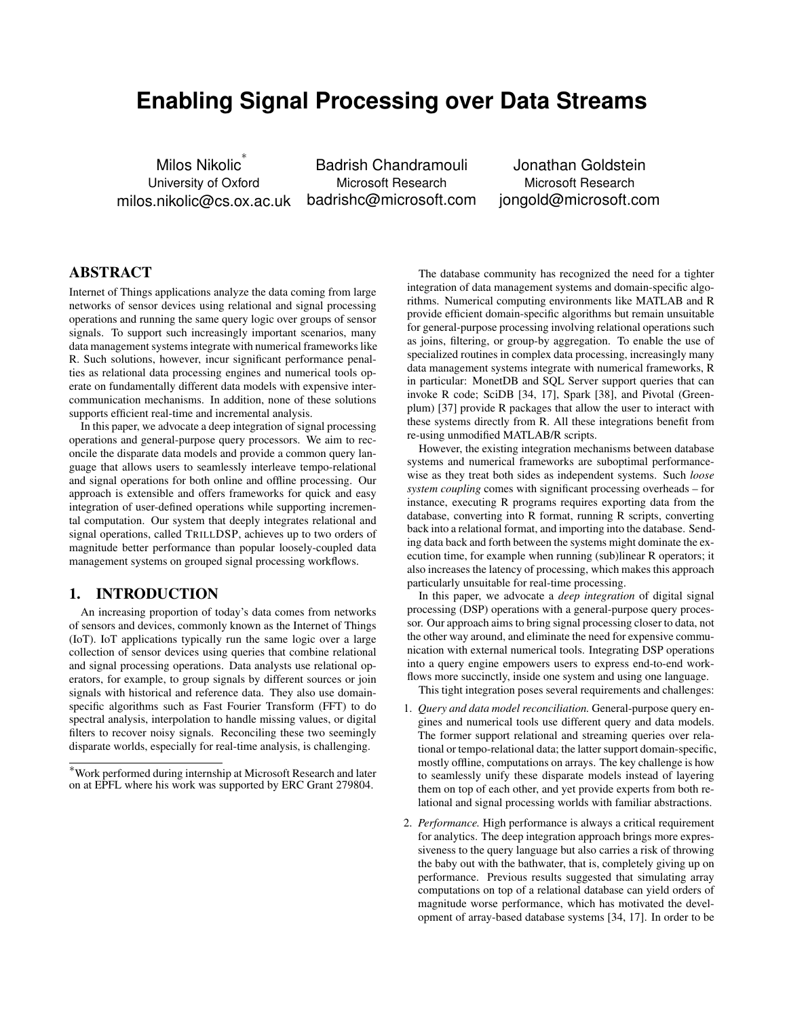# **Enabling Signal Processing over Data Streams**

Milos Nikolic ∗ University of Oxford milos.nikolic@cs.ox.ac.uk

Badrish Chandramouli Microsoft Research badrishc@microsoft.com

Jonathan Goldstein Microsoft Research jongold@microsoft.com

# ABSTRACT

Internet of Things applications analyze the data coming from large networks of sensor devices using relational and signal processing operations and running the same query logic over groups of sensor signals. To support such increasingly important scenarios, many data management systems integrate with numerical frameworks like R. Such solutions, however, incur significant performance penalties as relational data processing engines and numerical tools operate on fundamentally different data models with expensive intercommunication mechanisms. In addition, none of these solutions supports efficient real-time and incremental analysis.

In this paper, we advocate a deep integration of signal processing operations and general-purpose query processors. We aim to reconcile the disparate data models and provide a common query language that allows users to seamlessly interleave tempo-relational and signal operations for both online and offline processing. Our approach is extensible and offers frameworks for quick and easy integration of user-defined operations while supporting incremental computation. Our system that deeply integrates relational and signal operations, called TRILLDSP, achieves up to two orders of magnitude better performance than popular loosely-coupled data management systems on grouped signal processing workflows.

## 1. INTRODUCTION

An increasing proportion of today's data comes from networks of sensors and devices, commonly known as the Internet of Things (IoT). IoT applications typically run the same logic over a large collection of sensor devices using queries that combine relational and signal processing operations. Data analysts use relational operators, for example, to group signals by different sources or join signals with historical and reference data. They also use domainspecific algorithms such as Fast Fourier Transform (FFT) to do spectral analysis, interpolation to handle missing values, or digital filters to recover noisy signals. Reconciling these two seemingly disparate worlds, especially for real-time analysis, is challenging.

The database community has recognized the need for a tighter integration of data management systems and domain-specific algorithms. Numerical computing environments like MATLAB and R provide efficient domain-specific algorithms but remain unsuitable for general-purpose processing involving relational operations such as joins, filtering, or group-by aggregation. To enable the use of specialized routines in complex data processing, increasingly many data management systems integrate with numerical frameworks, R in particular: MonetDB and SQL Server support queries that can invoke R code; SciDB [34, 17], Spark [38], and Pivotal (Greenplum) [37] provide R packages that allow the user to interact with these systems directly from R. All these integrations benefit from re-using unmodified MATLAB/R scripts.

However, the existing integration mechanisms between database systems and numerical frameworks are suboptimal performancewise as they treat both sides as independent systems. Such *loose system coupling* comes with significant processing overheads – for instance, executing R programs requires exporting data from the database, converting into R format, running R scripts, converting back into a relational format, and importing into the database. Sending data back and forth between the systems might dominate the execution time, for example when running (sub)linear R operators; it also increases the latency of processing, which makes this approach particularly unsuitable for real-time processing.

In this paper, we advocate a *deep integration* of digital signal processing (DSP) operations with a general-purpose query processor. Our approach aims to bring signal processing closer to data, not the other way around, and eliminate the need for expensive communication with external numerical tools. Integrating DSP operations into a query engine empowers users to express end-to-end workflows more succinctly, inside one system and using one language.

This tight integration poses several requirements and challenges:

- 1. *Query and data model reconciliation.* General-purpose query engines and numerical tools use different query and data models. The former support relational and streaming queries over relational or tempo-relational data; the latter support domain-specific, mostly offline, computations on arrays. The key challenge is how to seamlessly unify these disparate models instead of layering them on top of each other, and yet provide experts from both relational and signal processing worlds with familiar abstractions.
- 2. *Performance.* High performance is always a critical requirement for analytics. The deep integration approach brings more expressiveness to the query language but also carries a risk of throwing the baby out with the bathwater, that is, completely giving up on performance. Previous results suggested that simulating array computations on top of a relational database can yield orders of magnitude worse performance, which has motivated the development of array-based database systems [34, 17]. In order to be

<sup>∗</sup>Work performed during internship at Microsoft Research and later on at EPFL where his work was supported by ERC Grant 279804.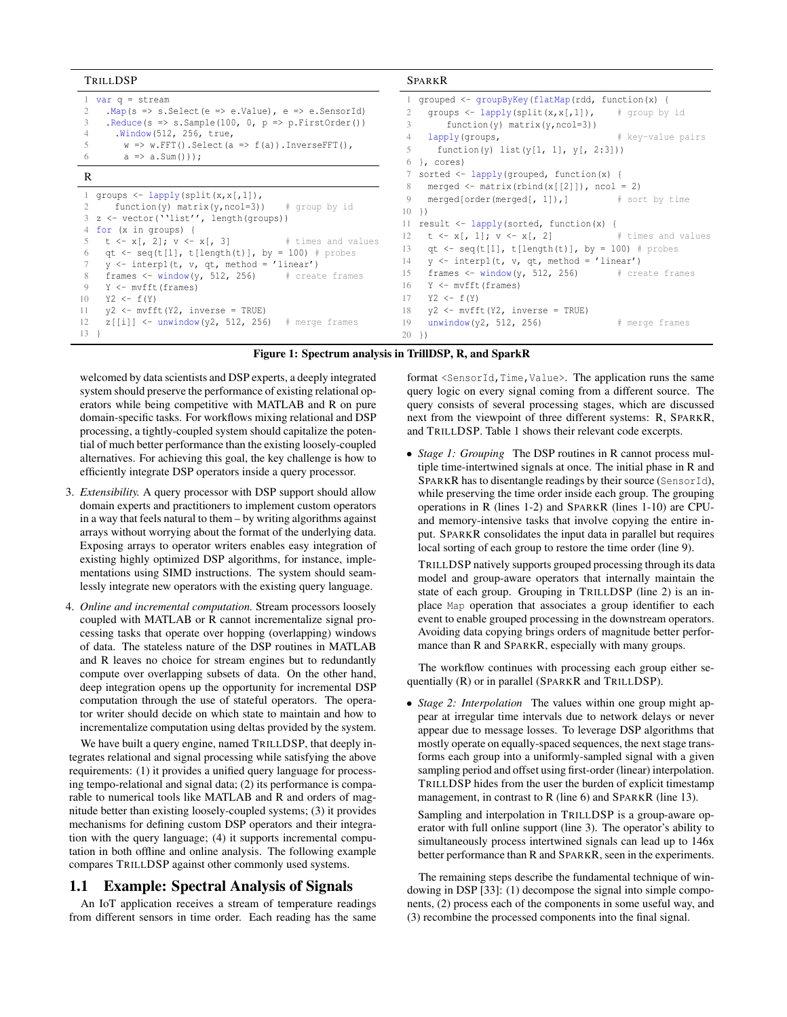| TRILLDSP                                                                                                                                                                                                                                                                                                                                                                                                                                                                                                                                                                  | <b>SPARKR</b>                                                                                                                                                                                                                                                                                                                                                                                                                                                                                                                                                  |
|---------------------------------------------------------------------------------------------------------------------------------------------------------------------------------------------------------------------------------------------------------------------------------------------------------------------------------------------------------------------------------------------------------------------------------------------------------------------------------------------------------------------------------------------------------------------------|----------------------------------------------------------------------------------------------------------------------------------------------------------------------------------------------------------------------------------------------------------------------------------------------------------------------------------------------------------------------------------------------------------------------------------------------------------------------------------------------------------------------------------------------------------------|
| 1 var $q =$ stream<br>$Map(s \Rightarrow s.Select(e \Rightarrow e.Value)$ , e => e.SensorId)<br>$\text{Reduce}(s \Rightarrow s.\text{Sample}(100, 0, p \Rightarrow p.\text{FirstOrder}())$<br>3<br>. Window (512, 256, true,<br>$\overline{4}$<br>$w \Rightarrow w.FFT()$ . Select (a => f(a)). InverseFFT(),<br>5.<br>$a \Rightarrow a.Sum()$ );<br>6                                                                                                                                                                                                                    | 1 grouped <- groupByKey(flatMap(rdd, function(x) {<br>qroups $\leftarrow$ lapply (split $(x, x[, 1])$ , # qroup by id<br>function(y) matrix(y, $ncol=3$ ))<br>3<br>lapply(groups, $\qquad$ # key-value pairs<br>4<br>function(y) list(y[1, 1], y[, 2:3]))<br>5 <sup>7</sup><br>$6$ }, cores)                                                                                                                                                                                                                                                                   |
| R                                                                                                                                                                                                                                                                                                                                                                                                                                                                                                                                                                         | 7 sorted <- lapply(grouped, function(x) {                                                                                                                                                                                                                                                                                                                                                                                                                                                                                                                      |
| 1 groups $\leftarrow$ lapply (split $(x, x[, 1])$ ,<br>function(y) matrix(y, ncol=3)) $\#$ group by id<br>$3 \text{ z} \leftarrow \text{vector('''list'', length(qrows))}$<br>4 for (x in groups) {<br>$t \leq x$ , 2; $v \leq x$ , 3] # times and values<br>qt $\leftarrow$ seq(t[1], t[length(t)], by = 100) # probes<br>6<br>$y \leftarrow \text{interpl}(t, v, qt, method = 'linear')$<br>frames $\le$ window(y, 512, 256) $\qquad$ # create frames<br>8<br>Y <- mvfft (frames)<br>9<br>$YZ \leftarrow f(Y)$<br>10<br>$y2 \leftarrow mvfft(Y2, inverse = TRUE)$<br>11 | merged $\leq$ matrix (rbind $(x[[2]])$ , ncol = 2)<br>8<br>merged[order(merged[, $1$ ]),] $\qquad$ # sort by time<br>9<br>$10 \}$<br>11 result $\leq$ lapply (sorted, function (x) {<br>$t \leq x$ , 1; $v \leq x$ , 2] # times and values<br>12<br>qt <- seq(t[1], t[length(t)], by = 100) # probes<br>13<br>$y \leftarrow \text{interpl}(t, v, qt, method = 'linear')$<br>14<br>frames $\le$ window(y, 512, 256) $\qquad$ # create frames<br>15<br>Y <- mvfft(frames)<br>16<br>$YZ \leftarrow f(Y)$<br>17<br>$y2 \leftarrow mvfft(Y2, inverse = TRUE)$<br>18 |
| $z[[i]]$ <- unwindow(y2, 512, 256) # merge frames<br>12<br>$13 \quad \}$                                                                                                                                                                                                                                                                                                                                                                                                                                                                                                  | unwindow( $y2, 512, 256$ )<br>19<br># merge frames<br>20<br>$\rightarrow$                                                                                                                                                                                                                                                                                                                                                                                                                                                                                      |

#### Figure 1: Spectrum analysis in TrillDSP, R, and SparkR

welcomed by data scientists and DSP experts, a deeply integrated system should preserve the performance of existing relational operators while being competitive with MATLAB and R on pure domain-specific tasks. For workflows mixing relational and DSP processing, a tightly-coupled system should capitalize the potential of much better performance than the existing loosely-coupled alternatives. For achieving this goal, the key challenge is how to efficiently integrate DSP operators inside a query processor.

- 3. *Extensibility.* A query processor with DSP support should allow domain experts and practitioners to implement custom operators in a way that feels natural to them – by writing algorithms against arrays without worrying about the format of the underlying data. Exposing arrays to operator writers enables easy integration of existing highly optimized DSP algorithms, for instance, implementations using SIMD instructions. The system should seamlessly integrate new operators with the existing query language.
- 4. *Online and incremental computation.* Stream processors loosely coupled with MATLAB or R cannot incrementalize signal processing tasks that operate over hopping (overlapping) windows of data. The stateless nature of the DSP routines in MATLAB and R leaves no choice for stream engines but to redundantly compute over overlapping subsets of data. On the other hand, deep integration opens up the opportunity for incremental DSP computation through the use of stateful operators. The operator writer should decide on which state to maintain and how to incrementalize computation using deltas provided by the system.

We have built a query engine, named TRILLDSP, that deeply integrates relational and signal processing while satisfying the above requirements: (1) it provides a unified query language for processing tempo-relational and signal data; (2) its performance is comparable to numerical tools like MATLAB and R and orders of magnitude better than existing loosely-coupled systems; (3) it provides mechanisms for defining custom DSP operators and their integration with the query language; (4) it supports incremental computation in both offline and online analysis. The following example compares TRILLDSP against other commonly used systems.

#### 1.1 Example: Spectral Analysis of Signals

An IoT application receives a stream of temperature readings from different sensors in time order. Each reading has the same

format <SensorId, Time, Value>. The application runs the same query logic on every signal coming from a different source. The query consists of several processing stages, which are discussed next from the viewpoint of three different systems: R, SPARKR, and TRILLDSP. Table 1 shows their relevant code excerpts.

• *Stage 1: Grouping* The DSP routines in R cannot process multiple time-intertwined signals at once. The initial phase in R and SPARKR has to disentangle readings by their source (SensorId), while preserving the time order inside each group. The grouping operations in R (lines 1-2) and SPARKR (lines 1-10) are CPUand memory-intensive tasks that involve copying the entire input. SPARKR consolidates the input data in parallel but requires local sorting of each group to restore the time order (line 9).

TRILLDSP natively supports grouped processing through its data model and group-aware operators that internally maintain the state of each group. Grouping in TRILLDSP (line 2) is an inplace Map operation that associates a group identifier to each event to enable grouped processing in the downstream operators. Avoiding data copying brings orders of magnitude better performance than R and SPARKR, especially with many groups.

The workflow continues with processing each group either sequentially (R) or in parallel (SPARKR and TRILLDSP).

• *Stage 2: Interpolation* The values within one group might appear at irregular time intervals due to network delays or never appear due to message losses. To leverage DSP algorithms that mostly operate on equally-spaced sequences, the next stage transforms each group into a uniformly-sampled signal with a given sampling period and offset using first-order (linear) interpolation. TRILLDSP hides from the user the burden of explicit timestamp management, in contrast to R (line 6) and SPARKR (line 13).

Sampling and interpolation in TRILLDSP is a group-aware operator with full online support (line 3). The operator's ability to simultaneously process intertwined signals can lead up to 146x better performance than R and SPARKR, seen in the experiments.

The remaining steps describe the fundamental technique of windowing in DSP [33]: (1) decompose the signal into simple components, (2) process each of the components in some useful way, and (3) recombine the processed components into the final signal.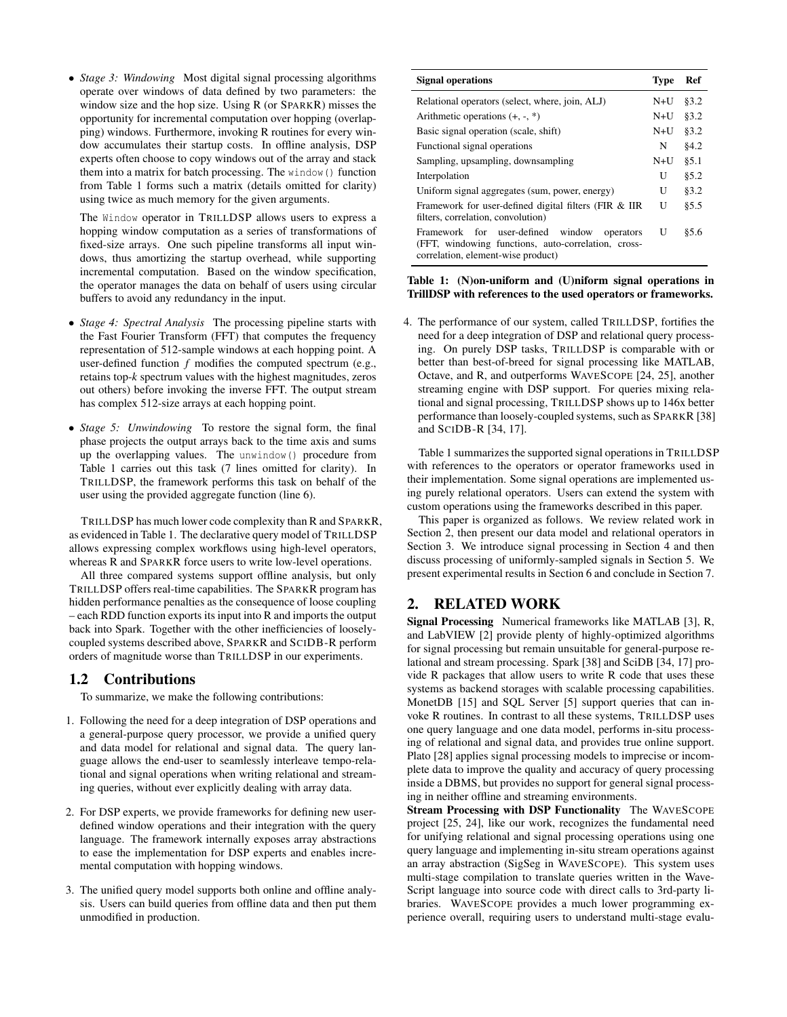• *Stage 3: Windowing* Most digital signal processing algorithms operate over windows of data defined by two parameters: the window size and the hop size. Using R (or SPARKR) misses the opportunity for incremental computation over hopping (overlapping) windows. Furthermore, invoking R routines for every window accumulates their startup costs. In offline analysis, DSP experts often choose to copy windows out of the array and stack them into a matrix for batch processing. The window() function from Table 1 forms such a matrix (details omitted for clarity) using twice as much memory for the given arguments.

The Window operator in TRILLDSP allows users to express a hopping window computation as a series of transformations of fixed-size arrays. One such pipeline transforms all input windows, thus amortizing the startup overhead, while supporting incremental computation. Based on the window specification, the operator manages the data on behalf of users using circular buffers to avoid any redundancy in the input.

- *Stage 4: Spectral Analysis* The processing pipeline starts with the Fast Fourier Transform (FFT) that computes the frequency representation of 512-sample windows at each hopping point. A user-defined function *f* modifies the computed spectrum (e.g., retains top-*k* spectrum values with the highest magnitudes, zeros out others) before invoking the inverse FFT. The output stream has complex 512-size arrays at each hopping point.
- *Stage 5: Unwindowing* To restore the signal form, the final phase projects the output arrays back to the time axis and sums up the overlapping values. The unwindow() procedure from Table 1 carries out this task (7 lines omitted for clarity). In TRILLDSP, the framework performs this task on behalf of the user using the provided aggregate function (line 6).

TRILLDSP has much lower code complexity than R and SPARKR, as evidenced in Table 1. The declarative query model of TRILLDSP allows expressing complex workflows using high-level operators, whereas R and SPARKR force users to write low-level operations.

All three compared systems support offline analysis, but only TRILLDSP offers real-time capabilities. The SPARKR program has hidden performance penalties as the consequence of loose coupling – each RDD function exports its input into R and imports the output back into Spark. Together with the other inefficiencies of looselycoupled systems described above, SPARKR and SCIDB-R perform orders of magnitude worse than TRILLDSP in our experiments.

## 1.2 Contributions

To summarize, we make the following contributions:

- 1. Following the need for a deep integration of DSP operations and a general-purpose query processor, we provide a unified query and data model for relational and signal data. The query language allows the end-user to seamlessly interleave tempo-relational and signal operations when writing relational and streaming queries, without ever explicitly dealing with array data.
- 2. For DSP experts, we provide frameworks for defining new userdefined window operations and their integration with the query language. The framework internally exposes array abstractions to ease the implementation for DSP experts and enables incremental computation with hopping windows.
- 3. The unified query model supports both online and offline analysis. Users can build queries from offline data and then put them unmodified in production.

| <b>Signal operations</b>                                                                                                                       | <b>Type</b> | Ref   |
|------------------------------------------------------------------------------------------------------------------------------------------------|-------------|-------|
| Relational operators (select, where, join, ALJ)                                                                                                | $N+U$       | §3.2  |
| Arithmetic operations $(+, -, *)$                                                                                                              | $N+U$       | §3.2  |
| Basic signal operation (scale, shift)                                                                                                          | $N+U$       | §3.2  |
| Functional signal operations                                                                                                                   | N           | 84.2  |
| Sampling, upsampling, downsampling                                                                                                             | $N+U$       | 85.1  |
| Interpolation                                                                                                                                  | U           | 85.2  |
| Uniform signal aggregates (sum, power, energy)                                                                                                 | U           | §3.2  |
| Framework for user-defined digital filters (FIR & IIR<br>filters, correlation, convolution)                                                    |             | § 5.5 |
| Framework for user-defined<br>window<br>operators<br>(FFT, windowing functions, auto-correlation, cross-<br>correlation, element-wise product) | U           | \$5.6 |

#### Table 1: (N)on-uniform and (U)niform signal operations in TrillDSP with references to the used operators or frameworks.

4. The performance of our system, called TRILLDSP, fortifies the need for a deep integration of DSP and relational query processing. On purely DSP tasks, TRILLDSP is comparable with or better than best-of-breed for signal processing like MATLAB, Octave, and R, and outperforms WAVESCOPE [24, 25], another streaming engine with DSP support. For queries mixing relational and signal processing, TRILLDSP shows up to 146x better performance than loosely-coupled systems, such as SPARKR [38] and SCIDB-R [34, 17].

Table 1 summarizes the supported signal operations in TRILLDSP with references to the operators or operator frameworks used in their implementation. Some signal operations are implemented using purely relational operators. Users can extend the system with custom operations using the frameworks described in this paper.

This paper is organized as follows. We review related work in Section 2, then present our data model and relational operators in Section 3. We introduce signal processing in Section 4 and then discuss processing of uniformly-sampled signals in Section 5. We present experimental results in Section 6 and conclude in Section 7.

# 2. RELATED WORK

Signal Processing Numerical frameworks like MATLAB [3], R, and LabVIEW [2] provide plenty of highly-optimized algorithms for signal processing but remain unsuitable for general-purpose relational and stream processing. Spark [38] and SciDB [34, 17] provide R packages that allow users to write R code that uses these systems as backend storages with scalable processing capabilities. MonetDB [15] and SOL Server [5] support queries that can invoke R routines. In contrast to all these systems, TRILLDSP uses one query language and one data model, performs in-situ processing of relational and signal data, and provides true online support. Plato [28] applies signal processing models to imprecise or incomplete data to improve the quality and accuracy of query processing inside a DBMS, but provides no support for general signal processing in neither offline and streaming environments.

Stream Processing with DSP Functionality The WAVESCOPE project [25, 24], like our work, recognizes the fundamental need for unifying relational and signal processing operations using one query language and implementing in-situ stream operations against an array abstraction (SigSeg in WAVESCOPE). This system uses multi-stage compilation to translate queries written in the Wave-Script language into source code with direct calls to 3rd-party libraries. WAVESCOPE provides a much lower programming experience overall, requiring users to understand multi-stage evalu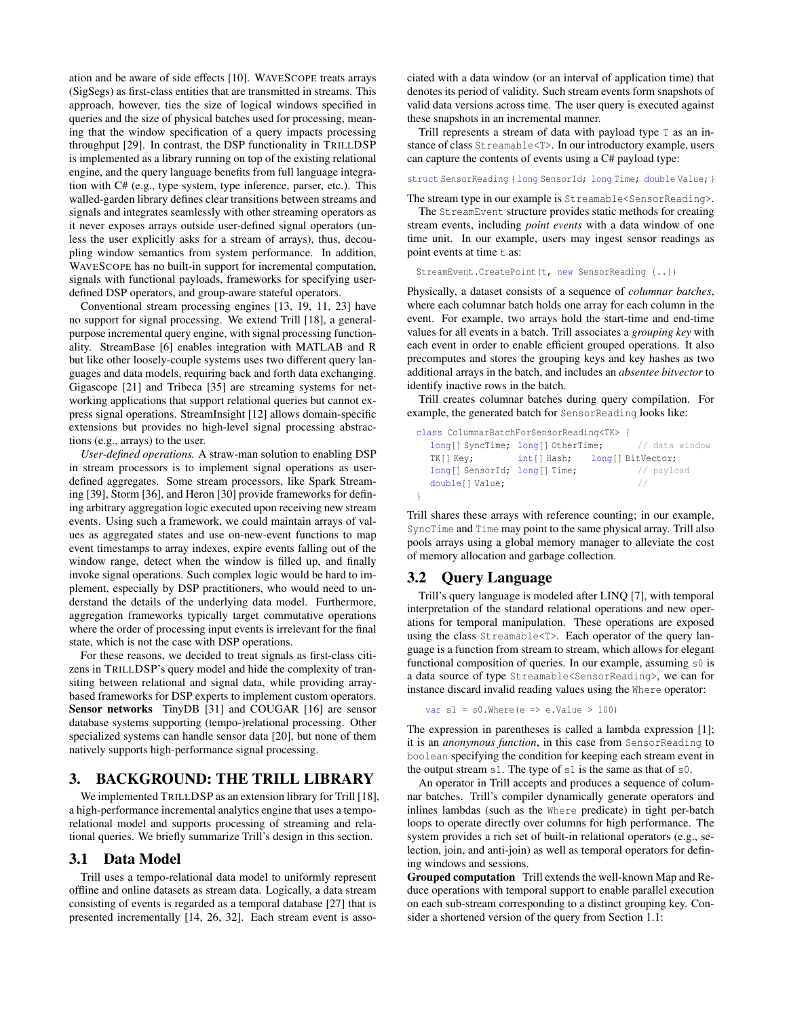ation and be aware of side effects [10]. WAVESCOPE treats arrays (SigSegs) as first-class entities that are transmitted in streams. This approach, however, ties the size of logical windows specified in queries and the size of physical batches used for processing, meaning that the window specification of a query impacts processing throughput [29]. In contrast, the DSP functionality in TRILLDSP is implemented as a library running on top of the existing relational engine, and the query language benefits from full language integration with C# (e.g., type system, type inference, parser, etc.). This walled-garden library defines clear transitions between streams and signals and integrates seamlessly with other streaming operators as it never exposes arrays outside user-defined signal operators (unless the user explicitly asks for a stream of arrays), thus, decoupling window semantics from system performance. In addition, WAVESCOPE has no built-in support for incremental computation, signals with functional payloads, frameworks for specifying userdefined DSP operators, and group-aware stateful operators.

Conventional stream processing engines [13, 19, 11, 23] have no support for signal processing. We extend Trill [18], a generalpurpose incremental query engine, with signal processing functionality. StreamBase [6] enables integration with MATLAB and R but like other loosely-couple systems uses two different query languages and data models, requiring back and forth data exchanging. Gigascope [21] and Tribeca [35] are streaming systems for networking applications that support relational queries but cannot express signal operations. StreamInsight [12] allows domain-specific extensions but provides no high-level signal processing abstractions (e.g., arrays) to the user.

*User-defined operations.* A straw-man solution to enabling DSP in stream processors is to implement signal operations as userdefined aggregates. Some stream processors, like Spark Streaming [39], Storm [36], and Heron [30] provide frameworks for defining arbitrary aggregation logic executed upon receiving new stream events. Using such a framework, we could maintain arrays of values as aggregated states and use on-new-event functions to map event timestamps to array indexes, expire events falling out of the window range, detect when the window is filled up, and finally invoke signal operations. Such complex logic would be hard to implement, especially by DSP practitioners, who would need to understand the details of the underlying data model. Furthermore, aggregation frameworks typically target commutative operations where the order of processing input events is irrelevant for the final state, which is not the case with DSP operations.

For these reasons, we decided to treat signals as first-class citizens in TRILLDSP's query model and hide the complexity of transiting between relational and signal data, while providing arraybased frameworks for DSP experts to implement custom operators. Sensor networks TinyDB [31] and COUGAR [16] are sensor database systems supporting (tempo-)relational processing. Other specialized systems can handle sensor data [20], but none of them natively supports high-performance signal processing.

## 3. BACKGROUND: THE TRILL LIBRARY

We implemented TRILLDSP as an extension library for Trill [18], a high-performance incremental analytics engine that uses a temporelational model and supports processing of streaming and relational queries. We briefly summarize Trill's design in this section.

#### 3.1 Data Model

Trill uses a tempo-relational data model to uniformly represent offline and online datasets as stream data. Logically, a data stream consisting of events is regarded as a temporal database [27] that is presented incrementally [14, 26, 32]. Each stream event is associated with a data window (or an interval of application time) that denotes its period of validity. Such stream events form snapshots of valid data versions across time. The user query is executed against these snapshots in an incremental manner.

Trill represents a stream of data with payload type T as an instance of class Streamable<T>. In our introductory example, users can capture the contents of events using a C# payload type:

struct SensorReading { long SensorId; long Time; double Value; }

The stream type in our example is Streamable<SensorReading>.

The StreamEvent structure provides static methods for creating stream events, including *point events* with a data window of one time unit. In our example, users may ingest sensor readings as point events at time  $t$  as:

StreamEvent.CreatePoint(t, new SensorReading {..})

Physically, a dataset consists of a sequence of *columnar batches*, where each columnar batch holds one array for each column in the event. For example, two arrays hold the start-time and end-time values for all events in a batch. Trill associates a *grouping key* with each event in order to enable efficient grouped operations. It also precomputes and stores the grouping keys and key hashes as two additional arrays in the batch, and includes an *absentee bitvector* to identify inactive rows in the batch.

Trill creates columnar batches during query compilation. For example, the generated batch for SensorReading looks like:

```
class ColumnarBatchForSensorReading<TK> {
  long[] SyncTime; long[] OtherTime; // data window
  TK[] Key; int[] Hash; long[] BitVector;
  long[] SensorId; long[] Time; // payload
  double[] Value; \frac{1}{2} //
}
```
Trill shares these arrays with reference counting; in our example, SyncTime and Time may point to the same physical array. Trill also pools arrays using a global memory manager to alleviate the cost of memory allocation and garbage collection.

#### 3.2 Query Language

Trill's query language is modeled after LINQ [7], with temporal interpretation of the standard relational operations and new operations for temporal manipulation. These operations are exposed using the class Streamable<T>. Each operator of the query language is a function from stream to stream, which allows for elegant functional composition of queries. In our example, assuming s0 is a data source of type Streamable<SensorReading>, we can for instance discard invalid reading values using the Where operator:

```
var sl = s0. Where (e => e.Value > 100)
```
The expression in parentheses is called a lambda expression [1]; it is an *anonymous function*, in this case from SensorReading to boolean specifying the condition for keeping each stream event in the output stream s1. The type of s1 is the same as that of s0.

An operator in Trill accepts and produces a sequence of columnar batches. Trill's compiler dynamically generate operators and inlines lambdas (such as the Where predicate) in tight per-batch loops to operate directly over columns for high performance. The system provides a rich set of built-in relational operators (e.g., selection, join, and anti-join) as well as temporal operators for defining windows and sessions.

Grouped computation Trill extends the well-known Map and Reduce operations with temporal support to enable parallel execution on each sub-stream corresponding to a distinct grouping key. Consider a shortened version of the query from Section 1.1: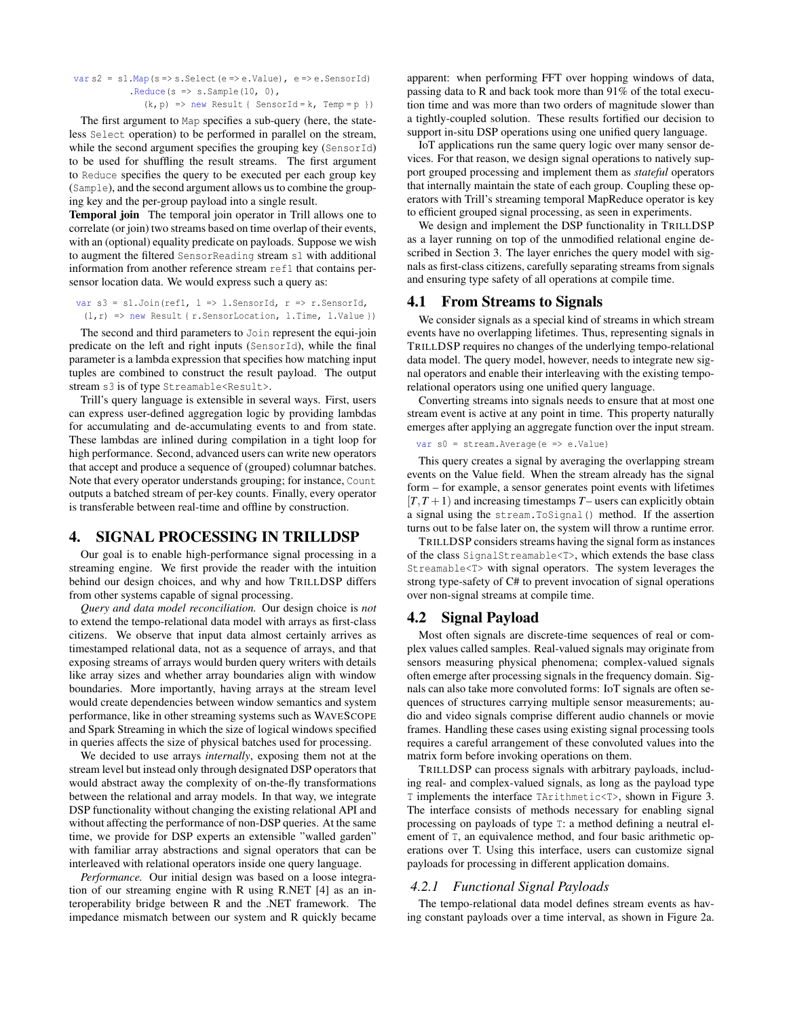```
var s2 = s1. Map(s = > s. Select(e = > e. Value), e = > e. SensorId)
             .Reduce(s \Rightarrow s.Sample(10, 0),
```
 $(k, p)$  => new Result { SensorId = k, Temp = p })

The first argument to Map specifies a sub-query (here, the stateless Select operation) to be performed in parallel on the stream, while the second argument specifies the grouping key (SensorId) to be used for shuffling the result streams. The first argument to Reduce specifies the query to be executed per each group key (Sample), and the second argument allows us to combine the grouping key and the per-group payload into a single result.

Temporal join The temporal join operator in Trill allows one to correlate (or join) two streams based on time overlap of their events, with an (optional) equality predicate on payloads. Suppose we wish to augment the filtered SensorReading stream s1 with additional information from another reference stream ref1 that contains persensor location data. We would express such a query as:

var s3 = s1.Join(ref1,  $l =$  > 1.SensorId,  $r =$   $\rightarrow$  r.SensorId,  $(1, r)$  => new Result { r. SensorLocation, 1. Time, 1. Value })

The second and third parameters to Join represent the equi-join predicate on the left and right inputs (SensorId), while the final parameter is a lambda expression that specifies how matching input tuples are combined to construct the result payload. The output stream s3 is of type Streamable<Result>.

Trill's query language is extensible in several ways. First, users can express user-defined aggregation logic by providing lambdas for accumulating and de-accumulating events to and from state. These lambdas are inlined during compilation in a tight loop for high performance. Second, advanced users can write new operators that accept and produce a sequence of (grouped) columnar batches. Note that every operator understands grouping; for instance, Count outputs a batched stream of per-key counts. Finally, every operator is transferable between real-time and offline by construction.

## 4. SIGNAL PROCESSING IN TRILLDSP

Our goal is to enable high-performance signal processing in a streaming engine. We first provide the reader with the intuition behind our design choices, and why and how TRILLDSP differs from other systems capable of signal processing.

*Query and data model reconciliation.* Our design choice is *not* to extend the tempo-relational data model with arrays as first-class citizens. We observe that input data almost certainly arrives as timestamped relational data, not as a sequence of arrays, and that exposing streams of arrays would burden query writers with details like array sizes and whether array boundaries align with window boundaries. More importantly, having arrays at the stream level would create dependencies between window semantics and system performance, like in other streaming systems such as WAVESCOPE and Spark Streaming in which the size of logical windows specified in queries affects the size of physical batches used for processing.

We decided to use arrays *internally*, exposing them not at the stream level but instead only through designated DSP operators that would abstract away the complexity of on-the-fly transformations between the relational and array models. In that way, we integrate DSP functionality without changing the existing relational API and without affecting the performance of non-DSP queries. At the same time, we provide for DSP experts an extensible "walled garden" with familiar array abstractions and signal operators that can be interleaved with relational operators inside one query language.

*Performance.* Our initial design was based on a loose integration of our streaming engine with R using R.NET [4] as an interoperability bridge between R and the .NET framework. The impedance mismatch between our system and R quickly became

apparent: when performing FFT over hopping windows of data, passing data to R and back took more than 91% of the total execution time and was more than two orders of magnitude slower than a tightly-coupled solution. These results fortified our decision to support in-situ DSP operations using one unified query language.

IoT applications run the same query logic over many sensor devices. For that reason, we design signal operations to natively support grouped processing and implement them as *stateful* operators that internally maintain the state of each group. Coupling these operators with Trill's streaming temporal MapReduce operator is key to efficient grouped signal processing, as seen in experiments.

We design and implement the DSP functionality in TRILLDSP as a layer running on top of the unmodified relational engine described in Section 3. The layer enriches the query model with signals as first-class citizens, carefully separating streams from signals and ensuring type safety of all operations at compile time.

## 4.1 From Streams to Signals

We consider signals as a special kind of streams in which stream events have no overlapping lifetimes. Thus, representing signals in TRILLDSP requires no changes of the underlying tempo-relational data model. The query model, however, needs to integrate new signal operators and enable their interleaving with the existing temporelational operators using one unified query language.

Converting streams into signals needs to ensure that at most one stream event is active at any point in time. This property naturally emerges after applying an aggregate function over the input stream.

```
var s0 = stream. Average (e => e.Value)
```
This query creates a signal by averaging the overlapping stream events on the Value field. When the stream already has the signal form – for example, a sensor generates point events with lifetimes  $[T, T+1)$  and increasing timestamps  $T$ – users can explicitly obtain a signal using the stream.ToSignal() method. If the assertion turns out to be false later on, the system will throw a runtime error.

TRILLDSP considers streams having the signal form as instances of the class SignalStreamable<T>, which extends the base class Streamable<T> with signal operators. The system leverages the strong type-safety of C# to prevent invocation of signal operations over non-signal streams at compile time.

## 4.2 Signal Payload

Most often signals are discrete-time sequences of real or complex values called samples. Real-valued signals may originate from sensors measuring physical phenomena; complex-valued signals often emerge after processing signals in the frequency domain. Signals can also take more convoluted forms: IoT signals are often sequences of structures carrying multiple sensor measurements; audio and video signals comprise different audio channels or movie frames. Handling these cases using existing signal processing tools requires a careful arrangement of these convoluted values into the matrix form before invoking operations on them.

TRILLDSP can process signals with arbitrary payloads, including real- and complex-valued signals, as long as the payload type T implements the interface TArithmetic<T>, shown in Figure 3. The interface consists of methods necessary for enabling signal processing on payloads of type T: a method defining a neutral element of T, an equivalence method, and four basic arithmetic operations over T. Using this interface, users can customize signal payloads for processing in different application domains.

## *4.2.1 Functional Signal Payloads*

The tempo-relational data model defines stream events as having constant payloads over a time interval, as shown in Figure 2a.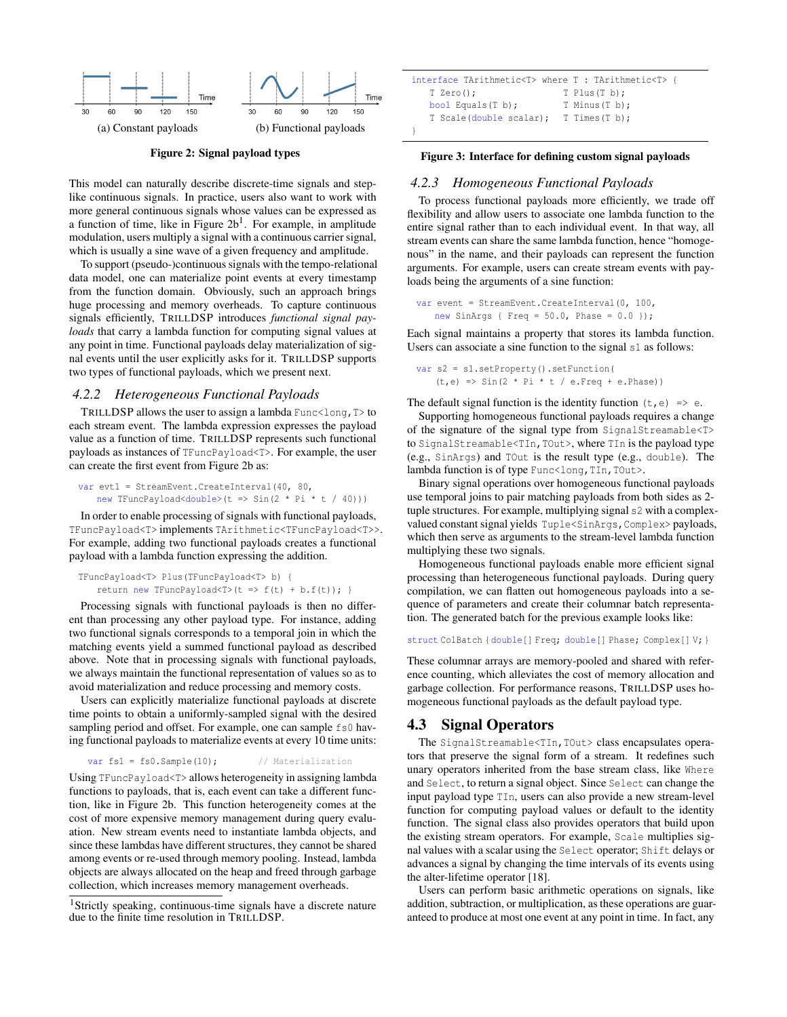

Figure 2: Signal payload types

This model can naturally describe discrete-time signals and steplike continuous signals. In practice, users also want to work with more general continuous signals whose values can be expressed as a function of time, like in Figure  $2b<sup>1</sup>$ . For example, in amplitude modulation, users multiply a signal with a continuous carrier signal, which is usually a sine wave of a given frequency and amplitude.

To support (pseudo-)continuous signals with the tempo-relational data model, one can materialize point events at every timestamp from the function domain. Obviously, such an approach brings huge processing and memory overheads. To capture continuous signals efficiently, TRILLDSP introduces *functional signal payloads* that carry a lambda function for computing signal values at any point in time. Functional payloads delay materialization of signal events until the user explicitly asks for it. TRILLDSP supports two types of functional payloads, which we present next.

#### *4.2.2 Heterogeneous Functional Payloads*

TRILLDSP allows the user to assign a lambda  $Func\leq\log T>$  to each stream event. The lambda expression expresses the payload value as a function of time. TRILLDSP represents such functional payloads as instances of TFuncPayload<T>. For example, the user can create the first event from Figure 2b as:

```
var evt1 = StreamEvent.CreateInterval(40, 80,
   new TFuncPayload<double>(t => Sin(2 * Pi * t / 40)))
```
In order to enable processing of signals with functional payloads, TFuncPayload<T> implements TArithmetic<TFuncPayload<T>>. For example, adding two functional payloads creates a functional payload with a lambda function expressing the addition.

```
TFuncPayload<T> Plus(TFuncPayload<T> b) {
   return new TFuncPayload <T> (t => f(t) + b.f(t)); }
```
Processing signals with functional payloads is then no different than processing any other payload type. For instance, adding two functional signals corresponds to a temporal join in which the matching events yield a summed functional payload as described above. Note that in processing signals with functional payloads, we always maintain the functional representation of values so as to avoid materialization and reduce processing and memory costs.

Users can explicitly materialize functional payloads at discrete time points to obtain a uniformly-sampled signal with the desired sampling period and offset. For example, one can sample  $fs0$  having functional payloads to materialize events at every 10 time units:

```
var fs1 = fs0. Sample(10); // Materialization
```
Using TFuncPayload<T> allows heterogeneity in assigning lambda functions to payloads, that is, each event can take a different function, like in Figure 2b. This function heterogeneity comes at the cost of more expensive memory management during query evaluation. New stream events need to instantiate lambda objects, and since these lambdas have different structures, they cannot be shared among events or re-used through memory pooling. Instead, lambda objects are always allocated on the heap and freed through garbage collection, which increases memory management overheads.

```
1Strictly speaking, continuous-time signals have a discrete nature
due to the finite time resolution in TRILLDSP.
```

```
interface TArithmetic<T> where T : TArithmetic<T> {
  T Zero(); T Plus(T b);
  bool Equals(T b); T Minus(T b);
   T Scale(double scalar); T Times(T b);
}
```
#### Figure 3: Interface for defining custom signal payloads

#### *4.2.3 Homogeneous Functional Payloads*

To process functional payloads more efficiently, we trade off flexibility and allow users to associate one lambda function to the entire signal rather than to each individual event. In that way, all stream events can share the same lambda function, hence "homogenous" in the name, and their payloads can represent the function arguments. For example, users can create stream events with payloads being the arguments of a sine function:

```
var event = StreamEvent. CreateInterval (0, 100,
   new SinArgs { Freq = 50.0, Phase = 0.0 });
```
Each signal maintains a property that stores its lambda function. Users can associate a sine function to the signal s1 as follows:

```
var s2 = s1.setProperty().setFunction(
   (t,e) \Rightarrow Sin(2 * Pi * t / e.Freq + e.Phase))
```
The default signal function is the identity function  $(t, e) \Rightarrow e$ .

Supporting homogeneous functional payloads requires a change of the signature of the signal type from SignalStreamable<T> to SignalStreamable<TIn,TOut>, where TIn is the payload type (e.g., SinArgs) and TOut is the result type (e.g., double). The lambda function is of type Func<long, TIn, TOut>.

Binary signal operations over homogeneous functional payloads use temporal joins to pair matching payloads from both sides as 2 tuple structures. For example, multiplying signal s2 with a complexvalued constant signal yields Tuple<SinArgs, Complex>payloads, which then serve as arguments to the stream-level lambda function multiplying these two signals.

Homogeneous functional payloads enable more efficient signal processing than heterogeneous functional payloads. During query compilation, we can flatten out homogeneous payloads into a sequence of parameters and create their columnar batch representation. The generated batch for the previous example looks like:

struct ColBatch {double[] Freq; double[] Phase; Complex[] V; }

These columnar arrays are memory-pooled and shared with reference counting, which alleviates the cost of memory allocation and garbage collection. For performance reasons, TRILLDSP uses homogeneous functional payloads as the default payload type.

#### 4.3 Signal Operators

The SignalStreamable<TIn,TOut> class encapsulates operators that preserve the signal form of a stream. It redefines such unary operators inherited from the base stream class, like Where and Select, to return a signal object. Since Select can change the input payload type TIn, users can also provide a new stream-level function for computing payload values or default to the identity function. The signal class also provides operators that build upon the existing stream operators. For example, Scale multiplies signal values with a scalar using the Select operator; Shift delays or advances a signal by changing the time intervals of its events using the alter-lifetime operator [18].

Users can perform basic arithmetic operations on signals, like addition, subtraction, or multiplication, as these operations are guaranteed to produce at most one event at any point in time. In fact, any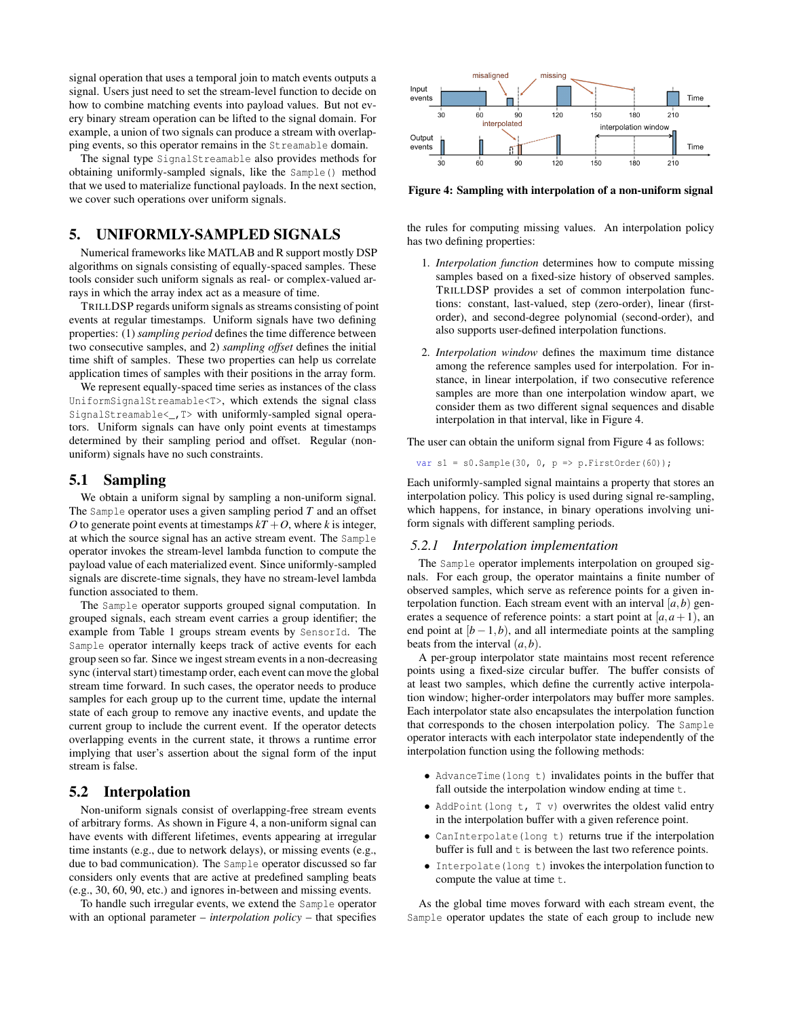signal operation that uses a temporal join to match events outputs a signal. Users just need to set the stream-level function to decide on how to combine matching events into payload values. But not every binary stream operation can be lifted to the signal domain. For example, a union of two signals can produce a stream with overlapping events, so this operator remains in the Streamable domain.

The signal type SignalStreamable also provides methods for obtaining uniformly-sampled signals, like the Sample() method that we used to materialize functional payloads. In the next section, we cover such operations over uniform signals.

# 5. UNIFORMLY-SAMPLED SIGNALS

Numerical frameworks like MATLAB and R support mostly DSP algorithms on signals consisting of equally-spaced samples. These tools consider such uniform signals as real- or complex-valued arrays in which the array index act as a measure of time.

TRILLDSP regards uniform signals as streams consisting of point events at regular timestamps. Uniform signals have two defining properties: (1) *sampling period* defines the time difference between two consecutive samples, and 2) *sampling offset* defines the initial time shift of samples. These two properties can help us correlate application times of samples with their positions in the array form.

We represent equally-spaced time series as instances of the class UniformSignalStreamable<T>, which extends the signal class SignalStreamable<\_,T> with uniformly-sampled signal operators. Uniform signals can have only point events at timestamps determined by their sampling period and offset. Regular (nonuniform) signals have no such constraints.

#### 5.1 Sampling

We obtain a uniform signal by sampling a non-uniform signal. The Sample operator uses a given sampling period *T* and an offset *O* to generate point events at timestamps  $kT + O$ , where *k* is integer, at which the source signal has an active stream event. The Sample operator invokes the stream-level lambda function to compute the payload value of each materialized event. Since uniformly-sampled signals are discrete-time signals, they have no stream-level lambda function associated to them.

The Sample operator supports grouped signal computation. In grouped signals, each stream event carries a group identifier; the example from Table 1 groups stream events by SensorId. The Sample operator internally keeps track of active events for each group seen so far. Since we ingest stream events in a non-decreasing sync (interval start) timestamp order, each event can move the global stream time forward. In such cases, the operator needs to produce samples for each group up to the current time, update the internal state of each group to remove any inactive events, and update the current group to include the current event. If the operator detects overlapping events in the current state, it throws a runtime error implying that user's assertion about the signal form of the input stream is false.

## 5.2 Interpolation

Non-uniform signals consist of overlapping-free stream events of arbitrary forms. As shown in Figure 4, a non-uniform signal can have events with different lifetimes, events appearing at irregular time instants (e.g., due to network delays), or missing events (e.g., due to bad communication). The Sample operator discussed so far considers only events that are active at predefined sampling beats (e.g., 30, 60, 90, etc.) and ignores in-between and missing events.

To handle such irregular events, we extend the Sample operator with an optional parameter – *interpolation policy* – that specifies



Figure 4: Sampling with interpolation of a non-uniform signal

the rules for computing missing values. An interpolation policy has two defining properties:

- 1. *Interpolation function* determines how to compute missing samples based on a fixed-size history of observed samples. TRILLDSP provides a set of common interpolation functions: constant, last-valued, step (zero-order), linear (firstorder), and second-degree polynomial (second-order), and also supports user-defined interpolation functions.
- 2. *Interpolation window* defines the maximum time distance among the reference samples used for interpolation. For instance, in linear interpolation, if two consecutive reference samples are more than one interpolation window apart, we consider them as two different signal sequences and disable interpolation in that interval, like in Figure 4.

The user can obtain the uniform signal from Figure 4 as follows:

var s1 = s0.Sample(30, 0,  $p \Rightarrow p$ .FirstOrder(60));

Each uniformly-sampled signal maintains a property that stores an interpolation policy. This policy is used during signal re-sampling, which happens, for instance, in binary operations involving uniform signals with different sampling periods.

## *5.2.1 Interpolation implementation*

The Sample operator implements interpolation on grouped signals. For each group, the operator maintains a finite number of observed samples, which serve as reference points for a given interpolation function. Each stream event with an interval  $[a, b)$  generates a sequence of reference points: a start point at  $[a, a+1]$ , an end point at  $[b-1,b)$ , and all intermediate points at the sampling beats from the interval  $(a, b)$ .

A per-group interpolator state maintains most recent reference points using a fixed-size circular buffer. The buffer consists of at least two samples, which define the currently active interpolation window; higher-order interpolators may buffer more samples. Each interpolator state also encapsulates the interpolation function that corresponds to the chosen interpolation policy. The Sample operator interacts with each interpolator state independently of the interpolation function using the following methods:

- AdvanceTime(long t) invalidates points in the buffer that fall outside the interpolation window ending at time t.
- AddPoint(long t, T v) overwrites the oldest valid entry in the interpolation buffer with a given reference point.
- CanInterpolate(long t) returns true if the interpolation buffer is full and  $t$  is between the last two reference points.
- Interpolate(long t) invokes the interpolation function to compute the value at time t.

As the global time moves forward with each stream event, the Sample operator updates the state of each group to include new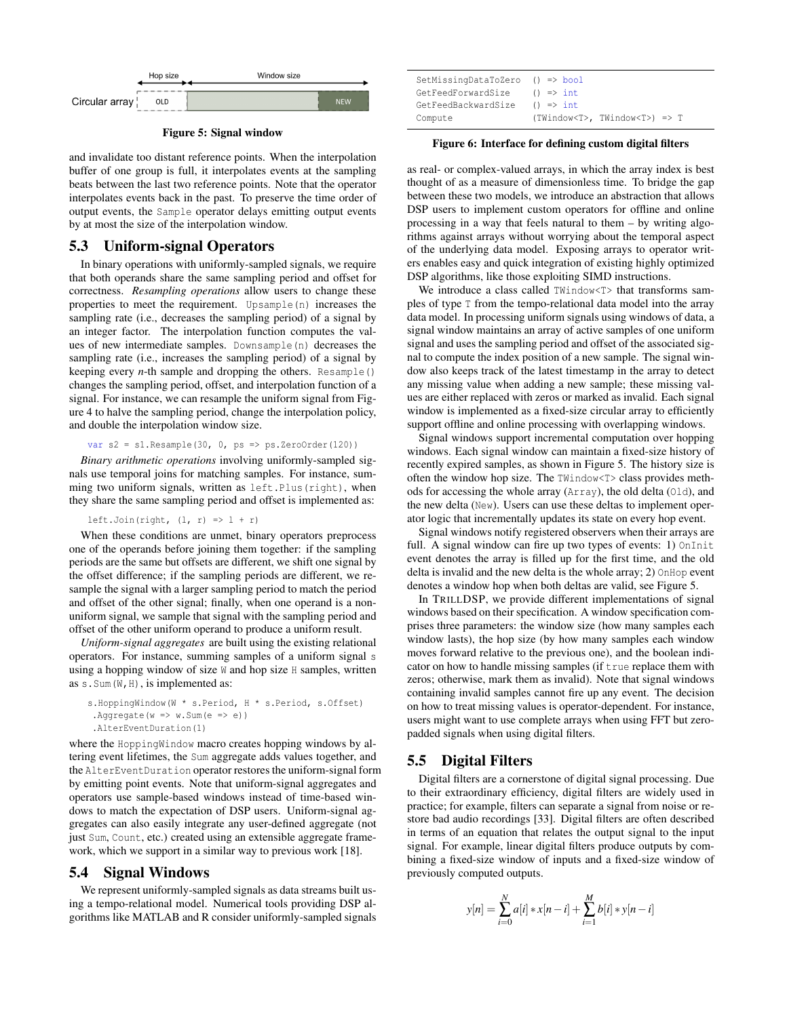

Figure 5: Signal window

and invalidate too distant reference points. When the interpolation buffer of one group is full, it interpolates events at the sampling beats between the last two reference points. Note that the operator interpolates events back in the past. To preserve the time order of output events, the Sample operator delays emitting output events by at most the size of the interpolation window.

## 5.3 Uniform-signal Operators

In binary operations with uniformly-sampled signals, we require that both operands share the same sampling period and offset for correctness. *Resampling operations* allow users to change these properties to meet the requirement. Upsample(n) increases the sampling rate (i.e., decreases the sampling period) of a signal by an integer factor. The interpolation function computes the values of new intermediate samples. Downsample(n) decreases the sampling rate (i.e., increases the sampling period) of a signal by keeping every *n*-th sample and dropping the others. Resample() changes the sampling period, offset, and interpolation function of a signal. For instance, we can resample the uniform signal from Figure 4 to halve the sampling period, change the interpolation policy, and double the interpolation window size.

var  $s2 = s1$ . Resample(30, 0, ps => ps. ZeroOrder(120))

*Binary arithmetic operations* involving uniformly-sampled signals use temporal joins for matching samples. For instance, summing two uniform signals, written as left.Plus(right), when they share the same sampling period and offset is implemented as:

left.Join(right,  $(l, r) \Rightarrow l + r$ )

When these conditions are unmet, binary operators preprocess one of the operands before joining them together: if the sampling periods are the same but offsets are different, we shift one signal by the offset difference; if the sampling periods are different, we resample the signal with a larger sampling period to match the period and offset of the other signal; finally, when one operand is a nonuniform signal, we sample that signal with the sampling period and offset of the other uniform operand to produce a uniform result.

*Uniform-signal aggregates* are built using the existing relational operators. For instance, summing samples of a uniform signal s using a hopping window of size W and hop size H samples, written as  $s$ . Sum (W, H), is implemented as:

```
s.HoppingWindow(W * s.Period, H * s.Period, s.Offset)
 .Aggregate(w \implies w. Sum(e \implies e))
 .AlterEventDuration(1)
```
where the HoppingWindow macro creates hopping windows by altering event lifetimes, the Sum aggregate adds values together, and the AlterEventDuration operator restores the uniform-signal form by emitting point events. Note that uniform-signal aggregates and operators use sample-based windows instead of time-based windows to match the expectation of DSP users. Uniform-signal aggregates can also easily integrate any user-defined aggregate (not just Sum, Count, etc.) created using an extensible aggregate framework, which we support in a similar way to previous work [18].

## 5.4 Signal Windows

We represent uniformly-sampled signals as data streams built using a tempo-relational model. Numerical tools providing DSP algorithms like MATLAB and R consider uniformly-sampled signals

| SetMissingDataToZero () => bool |                                           |
|---------------------------------|-------------------------------------------|
| GetFeedForwardSize              | $() \Rightarrow int$                      |
| GetFeedBackwardSize             | $() \Rightarrow int$                      |
| Compute                         | (TWindow <t>, TWindow<t>) =&gt; T</t></t> |

#### Figure 6: Interface for defining custom digital filters

as real- or complex-valued arrays, in which the array index is best thought of as a measure of dimensionless time. To bridge the gap between these two models, we introduce an abstraction that allows DSP users to implement custom operators for offline and online processing in a way that feels natural to them – by writing algorithms against arrays without worrying about the temporal aspect of the underlying data model. Exposing arrays to operator writers enables easy and quick integration of existing highly optimized DSP algorithms, like those exploiting SIMD instructions.

We introduce a class called TWindow<T> that transforms samples of type T from the tempo-relational data model into the array data model. In processing uniform signals using windows of data, a signal window maintains an array of active samples of one uniform signal and uses the sampling period and offset of the associated signal to compute the index position of a new sample. The signal window also keeps track of the latest timestamp in the array to detect any missing value when adding a new sample; these missing values are either replaced with zeros or marked as invalid. Each signal window is implemented as a fixed-size circular array to efficiently support offline and online processing with overlapping windows.

Signal windows support incremental computation over hopping windows. Each signal window can maintain a fixed-size history of recently expired samples, as shown in Figure 5. The history size is often the window hop size. The TWindow<T> class provides methods for accessing the whole array (Array), the old delta (Old), and the new delta (New). Users can use these deltas to implement operator logic that incrementally updates its state on every hop event.

Signal windows notify registered observers when their arrays are full. A signal window can fire up two types of events: 1) OnInit event denotes the array is filled up for the first time, and the old delta is invalid and the new delta is the whole array; 2) OnHop event denotes a window hop when both deltas are valid, see Figure 5.

In TRILLDSP, we provide different implementations of signal windows based on their specification. A window specification comprises three parameters: the window size (how many samples each window lasts), the hop size (by how many samples each window moves forward relative to the previous one), and the boolean indicator on how to handle missing samples (if true replace them with zeros; otherwise, mark them as invalid). Note that signal windows containing invalid samples cannot fire up any event. The decision on how to treat missing values is operator-dependent. For instance, users might want to use complete arrays when using FFT but zeropadded signals when using digital filters.

## 5.5 Digital Filters

Digital filters are a cornerstone of digital signal processing. Due to their extraordinary efficiency, digital filters are widely used in practice; for example, filters can separate a signal from noise or restore bad audio recordings [33]. Digital filters are often described in terms of an equation that relates the output signal to the input signal. For example, linear digital filters produce outputs by combining a fixed-size window of inputs and a fixed-size window of previously computed outputs.

$$
y[n] = \sum_{i=0}^{N} a[i] * x[n-i] + \sum_{i=1}^{M} b[i] * y[n-i]
$$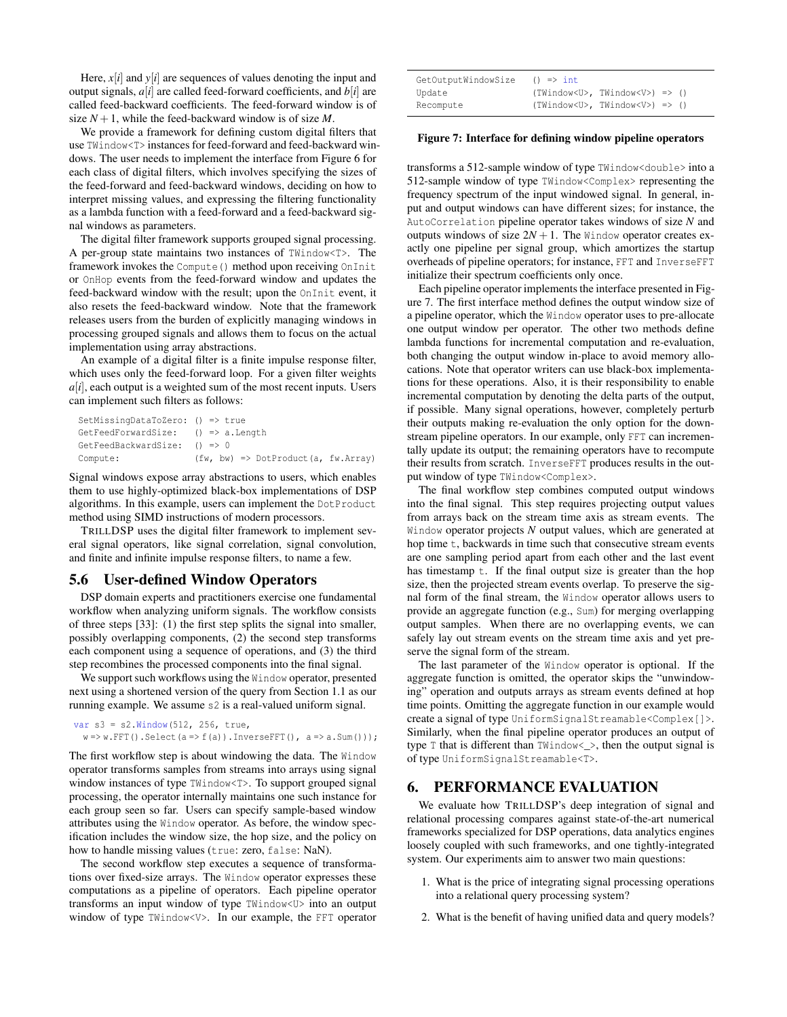Here,  $x[i]$  and  $y[i]$  are sequences of values denoting the input and output signals, *a*[*i*] are called feed-forward coefficients, and *b*[*i*] are called feed-backward coefficients. The feed-forward window is of size  $N + 1$ , while the feed-backward window is of size M.

We provide a framework for defining custom digital filters that use TWindow<T> instances for feed-forward and feed-backward windows. The user needs to implement the interface from Figure 6 for each class of digital filters, which involves specifying the sizes of the feed-forward and feed-backward windows, deciding on how to interpret missing values, and expressing the filtering functionality as a lambda function with a feed-forward and a feed-backward signal windows as parameters.

The digital filter framework supports grouped signal processing. A per-group state maintains two instances of TWindow<T>. The framework invokes the Compute () method upon receiving OnInit or OnHop events from the feed-forward window and updates the feed-backward window with the result; upon the OnInit event, it also resets the feed-backward window. Note that the framework releases users from the burden of explicitly managing windows in processing grouped signals and allows them to focus on the actual implementation using array abstractions.

An example of a digital filter is a finite impulse response filter, which uses only the feed-forward loop. For a given filter weights  $a[i]$ , each output is a weighted sum of the most recent inputs. Users can implement such filters as follows:

```
SetMissingDataToZero: () => true
GetFeedForwardSize: () => a.Length
GetFeedBackwardSize: () => 0
Compute: (fw, bw) => DotProduct(a, fw.Array)
```
Signal windows expose array abstractions to users, which enables them to use highly-optimized black-box implementations of DSP algorithms. In this example, users can implement the DotProduct method using SIMD instructions of modern processors.

TRILLDSP uses the digital filter framework to implement several signal operators, like signal correlation, signal convolution, and finite and infinite impulse response filters, to name a few.

### 5.6 User-defined Window Operators

DSP domain experts and practitioners exercise one fundamental workflow when analyzing uniform signals. The workflow consists of three steps [33]: (1) the first step splits the signal into smaller, possibly overlapping components, (2) the second step transforms each component using a sequence of operations, and (3) the third step recombines the processed components into the final signal.

We support such workflows using the Window operator, presented next using a shortened version of the query from Section 1.1 as our running example. We assume s2 is a real-valued uniform signal.

```
var s3 = s2. Window (512, 256, true,
  w \Rightarrow w.FFT(). Select(a => f(a)). InverseFFT(), a => a. Sum()));
```
The first workflow step is about windowing the data. The Window operator transforms samples from streams into arrays using signal window instances of type TWindow<T>. To support grouped signal processing, the operator internally maintains one such instance for each group seen so far. Users can specify sample-based window attributes using the Window operator. As before, the window specification includes the window size, the hop size, and the policy on how to handle missing values (true: zero, false: NaN).

The second workflow step executes a sequence of transformations over fixed-size arrays. The Window operator expresses these computations as a pipeline of operators. Each pipeline operator transforms an input window of type TWindow<U> into an output window of type TWindow<V>. In our example, the FFT operator

| GetOutputWindowSize | $() \Rightarrow int$                                  |
|---------------------|-------------------------------------------------------|
| Update              | $(TWindow< U>), TWindow< V> )$ => ()                  |
| Recompute           | $(TWindow < U>W)$ , TWindow $\langle V \rangle$ => () |

#### Figure 7: Interface for defining window pipeline operators

transforms a 512-sample window of type TWindow<double> into a 512-sample window of type TWindow<Complex> representing the frequency spectrum of the input windowed signal. In general, input and output windows can have different sizes; for instance, the AutoCorrelation pipeline operator takes windows of size *N* and outputs windows of size  $2N + 1$ . The Window operator creates exactly one pipeline per signal group, which amortizes the startup overheads of pipeline operators; for instance, FFT and InverseFFT initialize their spectrum coefficients only once.

Each pipeline operator implements the interface presented in Figure 7. The first interface method defines the output window size of a pipeline operator, which the Window operator uses to pre-allocate one output window per operator. The other two methods define lambda functions for incremental computation and re-evaluation, both changing the output window in-place to avoid memory allocations. Note that operator writers can use black-box implementations for these operations. Also, it is their responsibility to enable incremental computation by denoting the delta parts of the output, if possible. Many signal operations, however, completely perturb their outputs making re-evaluation the only option for the downstream pipeline operators. In our example, only FFT can incrementally update its output; the remaining operators have to recompute their results from scratch. InverseFFT produces results in the output window of type TWindow<Complex>.

The final workflow step combines computed output windows into the final signal. This step requires projecting output values from arrays back on the stream time axis as stream events. The Window operator projects *N* output values, which are generated at hop time t, backwards in time such that consecutive stream events are one sampling period apart from each other and the last event has timestamp  $t$ . If the final output size is greater than the hop size, then the projected stream events overlap. To preserve the signal form of the final stream, the Window operator allows users to provide an aggregate function (e.g., Sum) for merging overlapping output samples. When there are no overlapping events, we can safely lay out stream events on the stream time axis and yet preserve the signal form of the stream.

The last parameter of the Window operator is optional. If the aggregate function is omitted, the operator skips the "unwindowing" operation and outputs arrays as stream events defined at hop time points. Omitting the aggregate function in our example would create a signal of type UniformSignalStreamable<Complex[]>. Similarly, when the final pipeline operator produces an output of type  $T$  that is different than  $TW$  indow  $\leq$  >, then the output signal is of type UniformSignalStreamable<T>.

## 6. PERFORMANCE EVALUATION

We evaluate how TRILLDSP's deep integration of signal and relational processing compares against state-of-the-art numerical frameworks specialized for DSP operations, data analytics engines loosely coupled with such frameworks, and one tightly-integrated system. Our experiments aim to answer two main questions:

- 1. What is the price of integrating signal processing operations into a relational query processing system?
- 2. What is the benefit of having unified data and query models?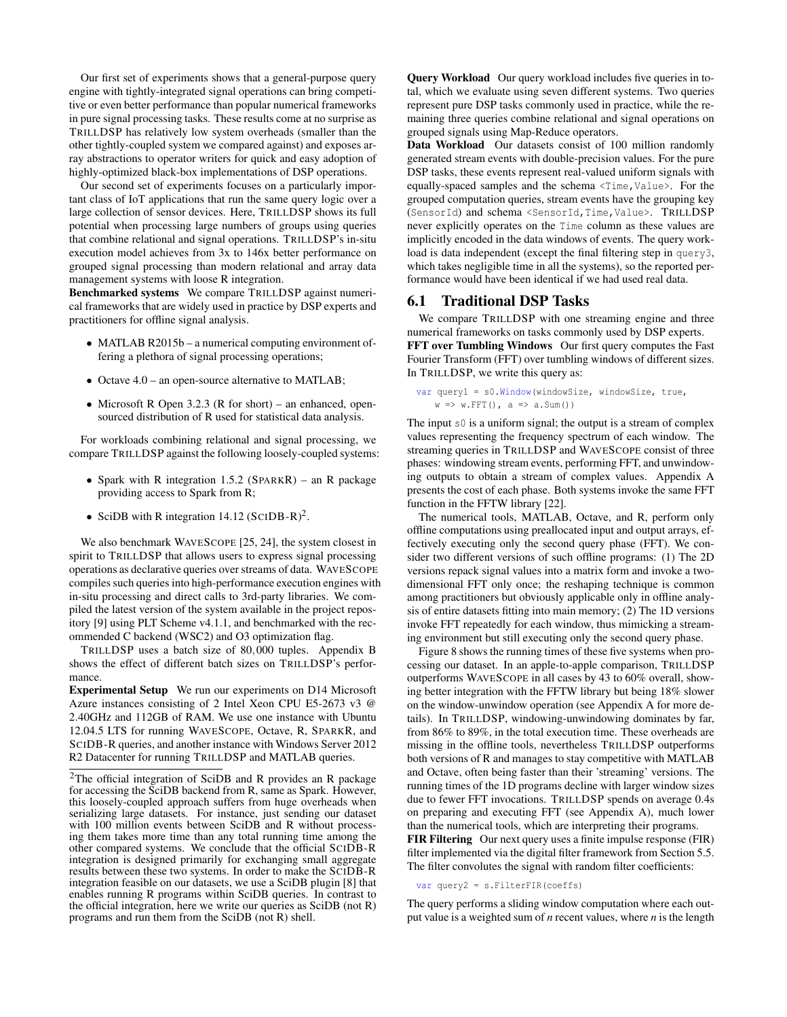Our first set of experiments shows that a general-purpose query engine with tightly-integrated signal operations can bring competitive or even better performance than popular numerical frameworks in pure signal processing tasks. These results come at no surprise as TRILLDSP has relatively low system overheads (smaller than the other tightly-coupled system we compared against) and exposes array abstractions to operator writers for quick and easy adoption of highly-optimized black-box implementations of DSP operations.

Our second set of experiments focuses on a particularly important class of IoT applications that run the same query logic over a large collection of sensor devices. Here, TRILLDSP shows its full potential when processing large numbers of groups using queries that combine relational and signal operations. TRILLDSP's in-situ execution model achieves from 3x to 146x better performance on grouped signal processing than modern relational and array data management systems with loose R integration.

Benchmarked systems We compare TRILLDSP against numerical frameworks that are widely used in practice by DSP experts and practitioners for offline signal analysis.

- MATLAB R2015b a numerical computing environment offering a plethora of signal processing operations;
- Octave 4.0 an open-source alternative to MATLAB;
- Microsoft R Open 3.2.3 (R for short) an enhanced, opensourced distribution of R used for statistical data analysis.

For workloads combining relational and signal processing, we compare TRILLDSP against the following loosely-coupled systems:

- Spark with R integration 1.5.2 (SPARKR) an R package providing access to Spark from R;
- SciDB with R integration 14.12 (SCIDB-R)<sup>2</sup>.

We also benchmark WAVESCOPE [25, 24], the system closest in spirit to TRILLDSP that allows users to express signal processing operations as declarative queries over streams of data. WAVESCOPE compiles such queries into high-performance execution engines with in-situ processing and direct calls to 3rd-party libraries. We compiled the latest version of the system available in the project repository [9] using PLT Scheme v4.1.1, and benchmarked with the recommended C backend (WSC2) and O3 optimization flag.

TRILLDSP uses a batch size of 80,000 tuples. Appendix B shows the effect of different batch sizes on TRILLDSP's performance.

Experimental Setup We run our experiments on D14 Microsoft Azure instances consisting of 2 Intel Xeon CPU E5-2673 v3 @ 2.40GHz and 112GB of RAM. We use one instance with Ubuntu 12.04.5 LTS for running WAVESCOPE, Octave, R, SPARKR, and SCIDB-R queries, and another instance with Windows Server 2012 R2 Datacenter for running TRILLDSP and MATLAB queries.

Query Workload Our query workload includes five queries in total, which we evaluate using seven different systems. Two queries represent pure DSP tasks commonly used in practice, while the remaining three queries combine relational and signal operations on grouped signals using Map-Reduce operators.

Data Workload Our datasets consist of 100 million randomly generated stream events with double-precision values. For the pure DSP tasks, these events represent real-valued uniform signals with equally-spaced samples and the schema <Time,Value>. For the grouped computation queries, stream events have the grouping key (SensorId) and schema <SensorId,Time,Value>. TRILLDSP never explicitly operates on the Time column as these values are implicitly encoded in the data windows of events. The query workload is data independent (except the final filtering step in query3, which takes negligible time in all the systems), so the reported performance would have been identical if we had used real data.

#### 6.1 Traditional DSP Tasks

We compare TRILLDSP with one streaming engine and three numerical frameworks on tasks commonly used by DSP experts. FFT over Tumbling Windows Our first query computes the Fast Fourier Transform (FFT) over tumbling windows of different sizes. In TRILLDSP, we write this query as:

var query1 = s0.Window(windowSize, windowSize, true,  $w \Rightarrow w.FFT()$ ,  $a \Rightarrow a.Sum()$ 

The input  $s0$  is a uniform signal; the output is a stream of complex values representing the frequency spectrum of each window. The streaming queries in TRILLDSP and WAVESCOPE consist of three phases: windowing stream events, performing FFT, and unwindowing outputs to obtain a stream of complex values. Appendix A presents the cost of each phase. Both systems invoke the same FFT function in the FFTW library [22].

The numerical tools, MATLAB, Octave, and R, perform only offline computations using preallocated input and output arrays, effectively executing only the second query phase (FFT). We consider two different versions of such offline programs: (1) The 2D versions repack signal values into a matrix form and invoke a twodimensional FFT only once; the reshaping technique is common among practitioners but obviously applicable only in offline analysis of entire datasets fitting into main memory; (2) The 1D versions invoke FFT repeatedly for each window, thus mimicking a streaming environment but still executing only the second query phase.

Figure 8 shows the running times of these five systems when processing our dataset. In an apple-to-apple comparison, TRILLDSP outperforms WAVESCOPE in all cases by 43 to 60% overall, showing better integration with the FFTW library but being 18% slower on the window-unwindow operation (see Appendix A for more details). In TRILLDSP, windowing-unwindowing dominates by far, from 86% to 89%, in the total execution time. These overheads are missing in the offline tools, nevertheless TRILLDSP outperforms both versions of R and manages to stay competitive with MATLAB and Octave, often being faster than their 'streaming' versions. The running times of the 1D programs decline with larger window sizes due to fewer FFT invocations. TRILLDSP spends on average 0.4s on preparing and executing FFT (see Appendix A), much lower than the numerical tools, which are interpreting their programs. FIR Filtering Our next query uses a finite impulse response (FIR)

filter implemented via the digital filter framework from Section 5.5. The filter convolutes the signal with random filter coefficients:

var query2 = s.FilterFIR(coeffs)

The query performs a sliding window computation where each output value is a weighted sum of *n* recent values, where *n* is the length

<sup>&</sup>lt;sup>2</sup>The official integration of SciDB and R provides an R package for accessing the SciDB backend from R, same as Spark. However, this loosely-coupled approach suffers from huge overheads when serializing large datasets. For instance, just sending our dataset with 100 million events between SciDB and R without processing them takes more time than any total running time among the other compared systems. We conclude that the official SCIDB-R integration is designed primarily for exchanging small aggregate results between these two systems. In order to make the SCIDB-R integration feasible on our datasets, we use a SciDB plugin [8] that enables running R programs within SciDB queries. In contrast to the official integration, here we write our queries as SciDB (not R) programs and run them from the SciDB (not R) shell.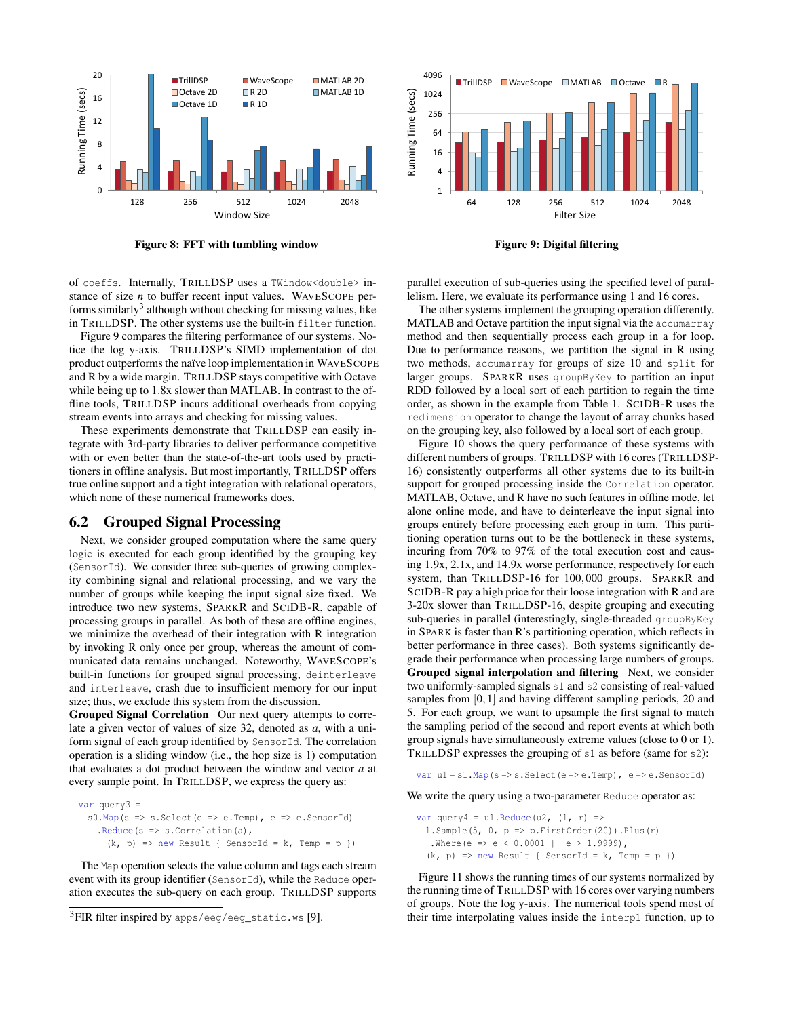

Figure 8: FFT with tumbling window

of coeffs. Internally, TRILLDSP uses a TWindow<double> instance of size *n* to buffer recent input values. WAVESCOPE performs similarly<sup>3</sup> although without checking for missing values, like in TRILLDSP. The other systems use the built-in filter function.

Figure 9 compares the filtering performance of our systems. Notice the log y-axis. TRILLDSP's SIMD implementation of dot product outperforms the naïve loop implementation in WAVESCOPE and R by a wide margin. TRILLDSP stays competitive with Octave while being up to 1.8x slower than MATLAB. In contrast to the offline tools, TRILLDSP incurs additional overheads from copying stream events into arrays and checking for missing values.

These experiments demonstrate that TRILLDSP can easily integrate with 3rd-party libraries to deliver performance competitive with or even better than the state-of-the-art tools used by practitioners in offline analysis. But most importantly, TRILLDSP offers true online support and a tight integration with relational operators, which none of these numerical frameworks does.

## 6.2 Grouped Signal Processing

Next, we consider grouped computation where the same query logic is executed for each group identified by the grouping key (SensorId). We consider three sub-queries of growing complexity combining signal and relational processing, and we vary the number of groups while keeping the input signal size fixed. We introduce two new systems, SPARKR and SCIDB-R, capable of processing groups in parallel. As both of these are offline engines, we minimize the overhead of their integration with R integration by invoking R only once per group, whereas the amount of communicated data remains unchanged. Noteworthy, WAVESCOPE's built-in functions for grouped signal processing, deinterleave and interleave, crash due to insufficient memory for our input size; thus, we exclude this system from the discussion.

Grouped Signal Correlation Our next query attempts to correlate a given vector of values of size 32, denoted as *a*, with a uniform signal of each group identified by SensorId. The correlation operation is a sliding window (i.e., the hop size is 1) computation that evaluates a dot product between the window and vector *a* at every sample point. In TRILLDSP, we express the query as:

```
var query3 =
 s0. Map(s => s. Select(e => e. Temp), e => e. SensorId)
   .Reduce(s => s.Correlation(a),
     (k, p) => new Result { SensorId = k, Temp = p })
```
The Map operation selects the value column and tags each stream event with its group identifier (SensorId), while the Reduce operation executes the sub-query on each group. TRILLDSP supports



Figure 9: Digital filtering

parallel execution of sub-queries using the specified level of parallelism. Here, we evaluate its performance using 1 and 16 cores.

The other systems implement the grouping operation differently. MATLAB and Octave partition the input signal via the accumarray method and then sequentially process each group in a for loop. Due to performance reasons, we partition the signal in R using two methods, accumarray for groups of size 10 and split for larger groups. SPARKR uses groupByKey to partition an input RDD followed by a local sort of each partition to regain the time order, as shown in the example from Table 1. SCIDB-R uses the redimension operator to change the layout of array chunks based on the grouping key, also followed by a local sort of each group.

Figure 10 shows the query performance of these systems with different numbers of groups. TRILLDSP with 16 cores (TRILLDSP-16) consistently outperforms all other systems due to its built-in support for grouped processing inside the Correlation operator. MATLAB, Octave, and R have no such features in offline mode, let alone online mode, and have to deinterleave the input signal into groups entirely before processing each group in turn. This partitioning operation turns out to be the bottleneck in these systems, incuring from 70% to 97% of the total execution cost and causing 1.9x, 2.1x, and 14.9x worse performance, respectively for each system, than TRILLDSP-16 for 100,000 groups. SPARKR and SCIDB-R pay a high price for their loose integration with R and are 3-20x slower than TRILLDSP-16, despite grouping and executing sub-queries in parallel (interestingly, single-threaded groupByKey in SPARK is faster than R's partitioning operation, which reflects in better performance in three cases). Both systems significantly degrade their performance when processing large numbers of groups. Grouped signal interpolation and filtering Next, we consider two uniformly-sampled signals s1 and s2 consisting of real-valued samples from [0,1] and having different sampling periods, 20 and 5. For each group, we want to upsample the first signal to match the sampling period of the second and report events at which both group signals have simultaneously extreme values (close to 0 or 1). TRILLDSP expresses the grouping of s1 as before (same for s2):

var u1 = s1.Map(s => s.Select(e => e.Temp), e => e.SensorId)

We write the query using a two-parameter Reduce operator as:

```
var query4 = u1. Reduce (u2, (1, r) =>
 l.Sample(5, 0, p \Rightarrow p.FirstOrder(20)).Plus(r)
  .Where(e => e < 0.0001 || e > 1.9999),
  (k, p) => new Result { SensorId = k, Temp = p })
```
Figure 11 shows the running times of our systems normalized by the running time of TRILLDSP with 16 cores over varying numbers of groups. Note the log y-axis. The numerical tools spend most of their time interpolating values inside the interp1 function, up to

<sup>&</sup>lt;sup>3</sup>FIR filter inspired by apps/eeg/eeg\_static.ws [9].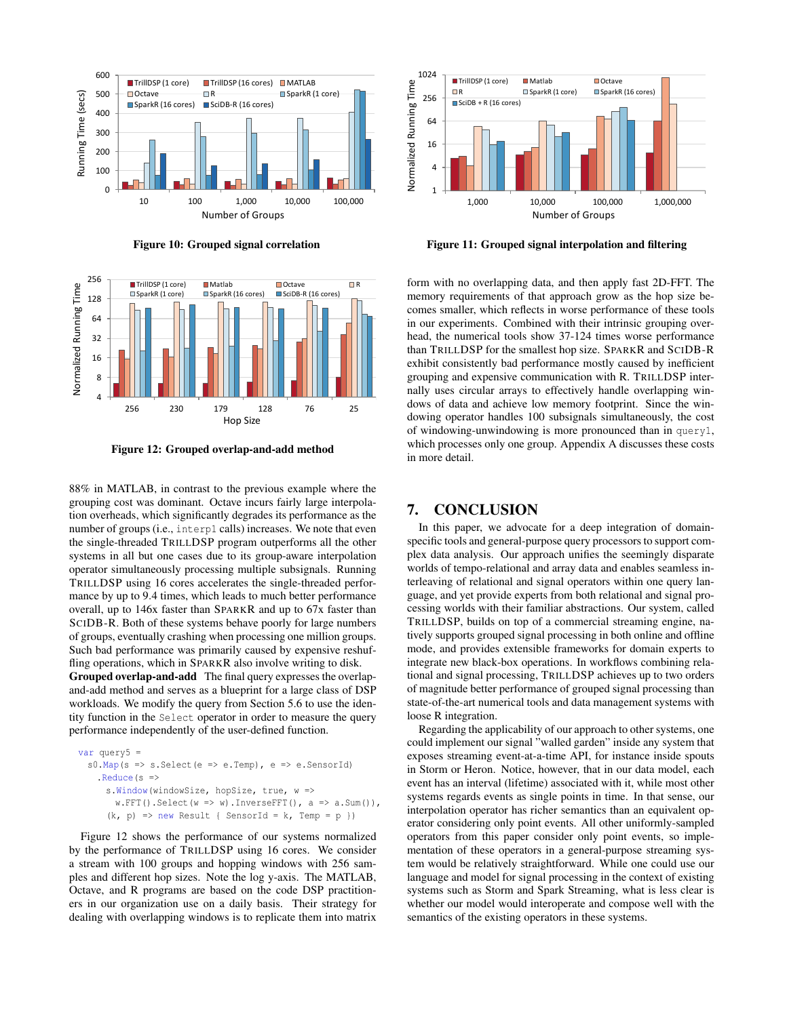

Figure 10: Grouped signal correlation



Figure 12: Grouped overlap-and-add method

88% in MATLAB, in contrast to the previous example where the grouping cost was dominant. Octave incurs fairly large interpolation overheads, which significantly degrades its performance as the number of groups (i.e., interp1 calls) increases. We note that even the single-threaded TRILLDSP program outperforms all the other systems in all but one cases due to its group-aware interpolation operator simultaneously processing multiple subsignals. Running TRILLDSP using 16 cores accelerates the single-threaded performance by up to 9.4 times, which leads to much better performance overall, up to 146x faster than SPARKR and up to 67x faster than SCIDB-R. Both of these systems behave poorly for large numbers of groups, eventually crashing when processing one million groups. Such bad performance was primarily caused by expensive reshuffling operations, which in SPARKR also involve writing to disk.

Grouped overlap-and-add The final query expresses the overlapand-add method and serves as a blueprint for a large class of DSP workloads. We modify the query from Section 5.6 to use the identity function in the Select operator in order to measure the query performance independently of the user-defined function.

```
var query5 =s0.Map(s => s.Select(e => e.Temp), e => e.SensorId)
   .Reduce(s =>
     s.Window(windowSize, hopSize, true, w =>
       w.FFT(). Select(w \Rightarrow w). InverseFFT(), a \Rightarrow a.Sum()),
      (k, p) => new Result { SensorId = k, Temp = p })
```
Figure 12 shows the performance of our systems normalized by the performance of TRILLDSP using 16 cores. We consider a stream with 100 groups and hopping windows with 256 samples and different hop sizes. Note the log y-axis. The MATLAB, Octave, and R programs are based on the code DSP practitioners in our organization use on a daily basis. Their strategy for dealing with overlapping windows is to replicate them into matrix



Figure 11: Grouped signal interpolation and filtering

form with no overlapping data, and then apply fast 2D-FFT. The memory requirements of that approach grow as the hop size becomes smaller, which reflects in worse performance of these tools in our experiments. Combined with their intrinsic grouping overhead, the numerical tools show 37-124 times worse performance than TRILLDSP for the smallest hop size. SPARKR and SCIDB-R exhibit consistently bad performance mostly caused by inefficient grouping and expensive communication with R. TRILLDSP internally uses circular arrays to effectively handle overlapping windows of data and achieve low memory footprint. Since the windowing operator handles 100 subsignals simultaneously, the cost of windowing-unwindowing is more pronounced than in query1, which processes only one group. Appendix A discusses these costs in more detail.

## 7. CONCLUSION

In this paper, we advocate for a deep integration of domainspecific tools and general-purpose query processors to support complex data analysis. Our approach unifies the seemingly disparate worlds of tempo-relational and array data and enables seamless interleaving of relational and signal operators within one query language, and yet provide experts from both relational and signal processing worlds with their familiar abstractions. Our system, called TRILLDSP, builds on top of a commercial streaming engine, natively supports grouped signal processing in both online and offline mode, and provides extensible frameworks for domain experts to integrate new black-box operations. In workflows combining relational and signal processing, TRILLDSP achieves up to two orders of magnitude better performance of grouped signal processing than state-of-the-art numerical tools and data management systems with loose R integration.

Regarding the applicability of our approach to other systems, one could implement our signal "walled garden" inside any system that exposes streaming event-at-a-time API, for instance inside spouts in Storm or Heron. Notice, however, that in our data model, each event has an interval (lifetime) associated with it, while most other systems regards events as single points in time. In that sense, our interpolation operator has richer semantics than an equivalent operator considering only point events. All other uniformly-sampled operators from this paper consider only point events, so implementation of these operators in a general-purpose streaming system would be relatively straightforward. While one could use our language and model for signal processing in the context of existing systems such as Storm and Spark Streaming, what is less clear is whether our model would interoperate and compose well with the semantics of the existing operators in these systems.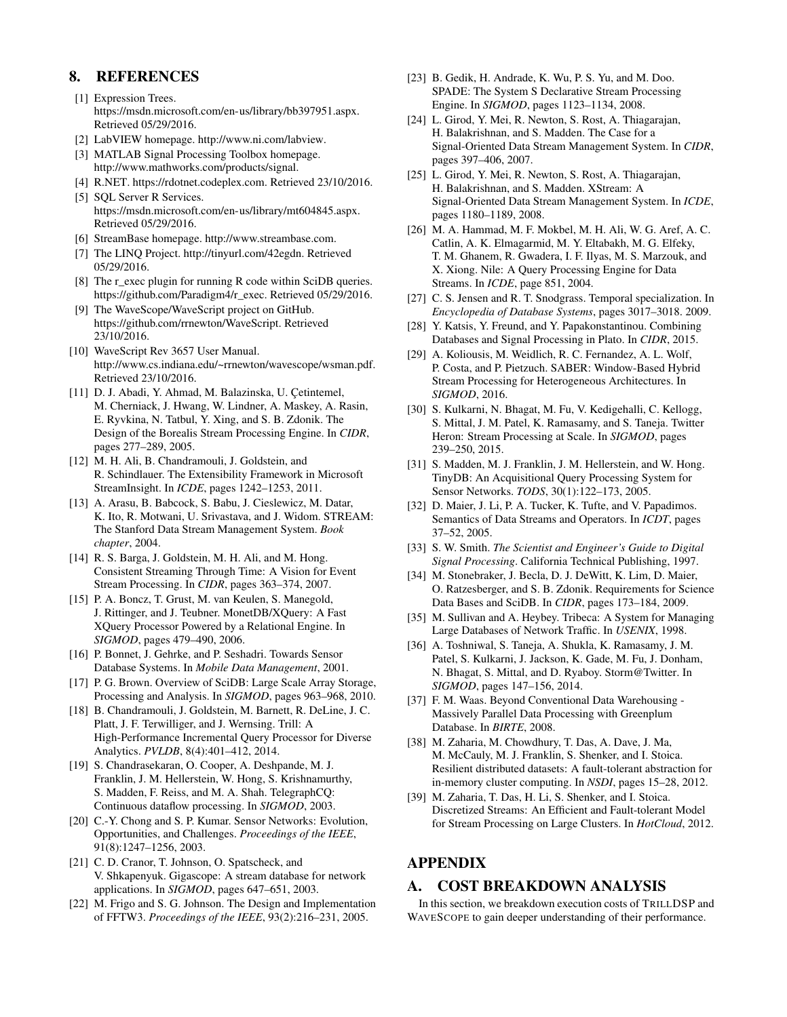# 8. REFERENCES

- [1] Expression Trees. https://msdn.microsoft.com/en-us/library/bb397951.aspx. Retrieved 05/29/2016.
- [2] LabVIEW homepage. http://www.ni.com/labview.
- [3] MATLAB Signal Processing Toolbox homepage. http://www.mathworks.com/products/signal.
- [4] R.NET. https://rdotnet.codeplex.com. Retrieved 23/10/2016.
- [5] SQL Server R Services. https://msdn.microsoft.com/en-us/library/mt604845.aspx. Retrieved 05/29/2016.
- [6] StreamBase homepage. http://www.streambase.com.
- [7] The LINQ Project. http://tinyurl.com/42egdn. Retrieved 05/29/2016.
- [8] The r\_exec plugin for running R code within SciDB queries. https://github.com/Paradigm4/r\_exec. Retrieved 05/29/2016.
- [9] The WaveScope/WaveScript project on GitHub. https://github.com/rrnewton/WaveScript. Retrieved 23/10/2016.
- [10] WaveScript Rev 3657 User Manual. http://www.cs.indiana.edu/~rrnewton/wavescope/wsman.pdf. Retrieved 23/10/2016.
- [11] D. J. Abadi, Y. Ahmad, M. Balazinska, U. Çetintemel, M. Cherniack, J. Hwang, W. Lindner, A. Maskey, A. Rasin, E. Ryvkina, N. Tatbul, Y. Xing, and S. B. Zdonik. The Design of the Borealis Stream Processing Engine. In *CIDR*, pages 277–289, 2005.
- [12] M. H. Ali, B. Chandramouli, J. Goldstein, and R. Schindlauer. The Extensibility Framework in Microsoft StreamInsight. In *ICDE*, pages 1242–1253, 2011.
- [13] A. Arasu, B. Babcock, S. Babu, J. Cieslewicz, M. Datar, K. Ito, R. Motwani, U. Srivastava, and J. Widom. STREAM: The Stanford Data Stream Management System. *Book chapter*, 2004.
- [14] R. S. Barga, J. Goldstein, M. H. Ali, and M. Hong. Consistent Streaming Through Time: A Vision for Event Stream Processing. In *CIDR*, pages 363–374, 2007.
- [15] P. A. Boncz, T. Grust, M. van Keulen, S. Manegold, J. Rittinger, and J. Teubner. MonetDB/XQuery: A Fast XQuery Processor Powered by a Relational Engine. In *SIGMOD*, pages 479–490, 2006.
- [16] P. Bonnet, J. Gehrke, and P. Seshadri. Towards Sensor Database Systems. In *Mobile Data Management*, 2001.
- [17] P. G. Brown. Overview of SciDB: Large Scale Array Storage, Processing and Analysis. In *SIGMOD*, pages 963–968, 2010.
- [18] B. Chandramouli, J. Goldstein, M. Barnett, R. DeLine, J. C. Platt, J. F. Terwilliger, and J. Wernsing. Trill: A High-Performance Incremental Query Processor for Diverse Analytics. *PVLDB*, 8(4):401–412, 2014.
- [19] S. Chandrasekaran, O. Cooper, A. Deshpande, M. J. Franklin, J. M. Hellerstein, W. Hong, S. Krishnamurthy, S. Madden, F. Reiss, and M. A. Shah. TelegraphCQ: Continuous dataflow processing. In *SIGMOD*, 2003.
- [20] C.-Y. Chong and S. P. Kumar. Sensor Networks: Evolution, Opportunities, and Challenges. *Proceedings of the IEEE*, 91(8):1247–1256, 2003.
- [21] C. D. Cranor, T. Johnson, O. Spatscheck, and V. Shkapenyuk. Gigascope: A stream database for network applications. In *SIGMOD*, pages 647–651, 2003.
- [22] M. Frigo and S. G. Johnson. The Design and Implementation of FFTW3. *Proceedings of the IEEE*, 93(2):216–231, 2005.
- [23] B. Gedik, H. Andrade, K. Wu, P. S. Yu, and M. Doo. SPADE: The System S Declarative Stream Processing Engine. In *SIGMOD*, pages 1123–1134, 2008.
- [24] L. Girod, Y. Mei, R. Newton, S. Rost, A. Thiagarajan, H. Balakrishnan, and S. Madden. The Case for a Signal-Oriented Data Stream Management System. In *CIDR*, pages 397–406, 2007.
- [25] L. Girod, Y. Mei, R. Newton, S. Rost, A. Thiagarajan, H. Balakrishnan, and S. Madden. XStream: A Signal-Oriented Data Stream Management System. In *ICDE*, pages 1180–1189, 2008.
- [26] M. A. Hammad, M. F. Mokbel, M. H. Ali, W. G. Aref, A. C. Catlin, A. K. Elmagarmid, M. Y. Eltabakh, M. G. Elfeky, T. M. Ghanem, R. Gwadera, I. F. Ilyas, M. S. Marzouk, and X. Xiong. Nile: A Query Processing Engine for Data Streams. In *ICDE*, page 851, 2004.
- [27] C. S. Jensen and R. T. Snodgrass. Temporal specialization. In *Encyclopedia of Database Systems*, pages 3017–3018. 2009.
- [28] Y. Katsis, Y. Freund, and Y. Papakonstantinou. Combining Databases and Signal Processing in Plato. In *CIDR*, 2015.
- [29] A. Koliousis, M. Weidlich, R. C. Fernandez, A. L. Wolf, P. Costa, and P. Pietzuch. SABER: Window-Based Hybrid Stream Processing for Heterogeneous Architectures. In *SIGMOD*, 2016.
- [30] S. Kulkarni, N. Bhagat, M. Fu, V. Kedigehalli, C. Kellogg, S. Mittal, J. M. Patel, K. Ramasamy, and S. Taneja. Twitter Heron: Stream Processing at Scale. In *SIGMOD*, pages 239–250, 2015.
- [31] S. Madden, M. J. Franklin, J. M. Hellerstein, and W. Hong. TinyDB: An Acquisitional Query Processing System for Sensor Networks. *TODS*, 30(1):122–173, 2005.
- [32] D. Maier, J. Li, P. A. Tucker, K. Tufte, and V. Papadimos. Semantics of Data Streams and Operators. In *ICDT*, pages 37–52, 2005.
- [33] S. W. Smith. *The Scientist and Engineer's Guide to Digital Signal Processing*. California Technical Publishing, 1997.
- [34] M. Stonebraker, J. Becla, D. J. DeWitt, K. Lim, D. Maier, O. Ratzesberger, and S. B. Zdonik. Requirements for Science Data Bases and SciDB. In *CIDR*, pages 173–184, 2009.
- [35] M. Sullivan and A. Heybey. Tribeca: A System for Managing Large Databases of Network Traffic. In *USENIX*, 1998.
- [36] A. Toshniwal, S. Taneja, A. Shukla, K. Ramasamy, J. M. Patel, S. Kulkarni, J. Jackson, K. Gade, M. Fu, J. Donham, N. Bhagat, S. Mittal, and D. Ryaboy. Storm@Twitter. In *SIGMOD*, pages 147–156, 2014.
- [37] F. M. Waas. Beyond Conventional Data Warehousing Massively Parallel Data Processing with Greenplum Database. In *BIRTE*, 2008.
- [38] M. Zaharia, M. Chowdhury, T. Das, A. Dave, J. Ma, M. McCauly, M. J. Franklin, S. Shenker, and I. Stoica. Resilient distributed datasets: A fault-tolerant abstraction for in-memory cluster computing. In *NSDI*, pages 15–28, 2012.
- [39] M. Zaharia, T. Das, H. Li, S. Shenker, and I. Stoica. Discretized Streams: An Efficient and Fault-tolerant Model for Stream Processing on Large Clusters. In *HotCloud*, 2012.

# APPENDIX

# A. COST BREAKDOWN ANALYSIS

In this section, we breakdown execution costs of TRILLDSP and WAVESCOPE to gain deeper understanding of their performance.